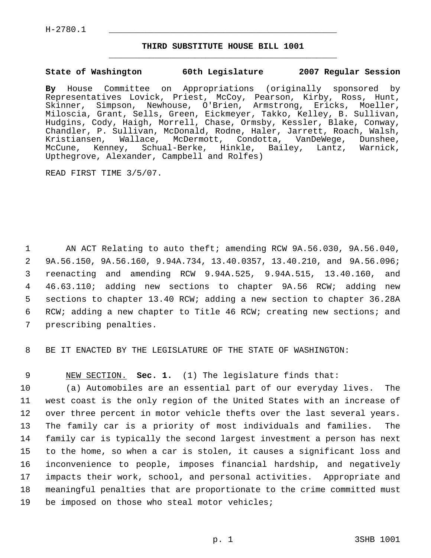H-2780.1 \_\_\_\_\_\_\_\_\_\_\_\_\_\_\_\_\_\_\_\_\_\_\_\_\_\_\_\_\_\_\_\_\_\_\_\_\_\_\_\_\_\_\_\_\_

## **THIRD SUBSTITUTE HOUSE BILL 1001** \_\_\_\_\_\_\_\_\_\_\_\_\_\_\_\_\_\_\_\_\_\_\_\_\_\_\_\_\_\_\_\_\_\_\_\_\_\_\_\_\_\_\_\_\_

#### **State of Washington 60th Legislature 2007 Regular Session**

**By** House Committee on Appropriations (originally sponsored by Representatives Lovick, Priest, McCoy, Pearson, Kirby, Ross, Hunt, Skinner, Simpson, Newhouse, O'Brien, Armstrong, Ericks, Moeller, Miloscia, Grant, Sells, Green, Eickmeyer, Takko, Kelley, B. Sullivan, Hudgins, Cody, Haigh, Morrell, Chase, Ormsby, Kessler, Blake, Conway, Chandler, P. Sullivan, McDonald, Rodne, Haler, Jarrett, Roach, Walsh, Kristiansen, Wallace, McDermott, Condotta, VanDeWege, Dunshee, McCune, Kenney, Schual-Berke, Hinkle, Bailey, Lantz, Warnick, Upthegrove, Alexander, Campbell and Rolfes)

READ FIRST TIME 3/5/07.

 AN ACT Relating to auto theft; amending RCW 9A.56.030, 9A.56.040, 9A.56.150, 9A.56.160, 9.94A.734, 13.40.0357, 13.40.210, and 9A.56.096; reenacting and amending RCW 9.94A.525, 9.94A.515, 13.40.160, and 46.63.110; adding new sections to chapter 9A.56 RCW; adding new sections to chapter 13.40 RCW; adding a new section to chapter 36.28A RCW; adding a new chapter to Title 46 RCW; creating new sections; and prescribing penalties.

8 BE IT ENACTED BY THE LEGISLATURE OF THE STATE OF WASHINGTON:

9 NEW SECTION. **Sec. 1.** (1) The legislature finds that:

 (a) Automobiles are an essential part of our everyday lives. The west coast is the only region of the United States with an increase of over three percent in motor vehicle thefts over the last several years. The family car is a priority of most individuals and families. The family car is typically the second largest investment a person has next to the home, so when a car is stolen, it causes a significant loss and inconvenience to people, imposes financial hardship, and negatively impacts their work, school, and personal activities. Appropriate and meaningful penalties that are proportionate to the crime committed must be imposed on those who steal motor vehicles;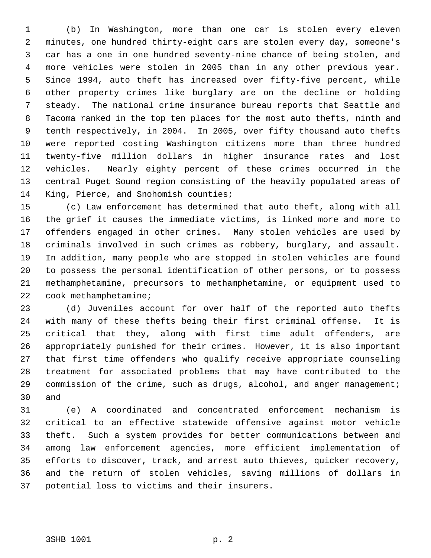(b) In Washington, more than one car is stolen every eleven minutes, one hundred thirty-eight cars are stolen every day, someone's car has a one in one hundred seventy-nine chance of being stolen, and more vehicles were stolen in 2005 than in any other previous year. Since 1994, auto theft has increased over fifty-five percent, while other property crimes like burglary are on the decline or holding steady. The national crime insurance bureau reports that Seattle and Tacoma ranked in the top ten places for the most auto thefts, ninth and tenth respectively, in 2004. In 2005, over fifty thousand auto thefts were reported costing Washington citizens more than three hundred twenty-five million dollars in higher insurance rates and lost vehicles. Nearly eighty percent of these crimes occurred in the central Puget Sound region consisting of the heavily populated areas of King, Pierce, and Snohomish counties;

 (c) Law enforcement has determined that auto theft, along with all the grief it causes the immediate victims, is linked more and more to offenders engaged in other crimes. Many stolen vehicles are used by criminals involved in such crimes as robbery, burglary, and assault. In addition, many people who are stopped in stolen vehicles are found to possess the personal identification of other persons, or to possess methamphetamine, precursors to methamphetamine, or equipment used to cook methamphetamine;

 (d) Juveniles account for over half of the reported auto thefts with many of these thefts being their first criminal offense. It is critical that they, along with first time adult offenders, are appropriately punished for their crimes. However, it is also important that first time offenders who qualify receive appropriate counseling treatment for associated problems that may have contributed to the 29 commission of the crime, such as drugs, alcohol, and anger management; and

 (e) A coordinated and concentrated enforcement mechanism is critical to an effective statewide offensive against motor vehicle theft. Such a system provides for better communications between and among law enforcement agencies, more efficient implementation of efforts to discover, track, and arrest auto thieves, quicker recovery, and the return of stolen vehicles, saving millions of dollars in potential loss to victims and their insurers.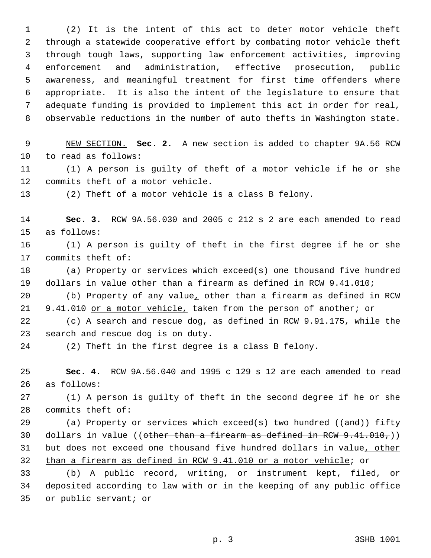(2) It is the intent of this act to deter motor vehicle theft through a statewide cooperative effort by combating motor vehicle theft through tough laws, supporting law enforcement activities, improving enforcement and administration, effective prosecution, public awareness, and meaningful treatment for first time offenders where appropriate. It is also the intent of the legislature to ensure that adequate funding is provided to implement this act in order for real, observable reductions in the number of auto thefts in Washington state.

 NEW SECTION. **Sec. 2.** A new section is added to chapter 9A.56 RCW to read as follows:

 (1) A person is guilty of theft of a motor vehicle if he or she commits theft of a motor vehicle.

(2) Theft of a motor vehicle is a class B felony.

 **Sec. 3.** RCW 9A.56.030 and 2005 c 212 s 2 are each amended to read as follows:

 (1) A person is guilty of theft in the first degree if he or she commits theft of:

 (a) Property or services which exceed(s) one thousand five hundred dollars in value other than a firearm as defined in RCW 9.41.010;

 (b) Property of any value, other than a firearm as defined in RCW 21 9.41.010 or a motor vehicle, taken from the person of another; or

 (c) A search and rescue dog, as defined in RCW 9.91.175, while the search and rescue dog is on duty.

(2) Theft in the first degree is a class B felony.

 **Sec. 4.** RCW 9A.56.040 and 1995 c 129 s 12 are each amended to read as follows:

 (1) A person is guilty of theft in the second degree if he or she commits theft of:

29 (a) Property or services which exceed(s) two hundred  $((\text{and}))$  fifty 30 dollars in value ((other than a firearm as defined in RCW  $9.41.010$ ,)) 31 but does not exceed one thousand five hundred dollars in value, other than a firearm as defined in RCW 9.41.010 or a motor vehicle; or

 (b) A public record, writing, or instrument kept, filed, or deposited according to law with or in the keeping of any public office or public servant; or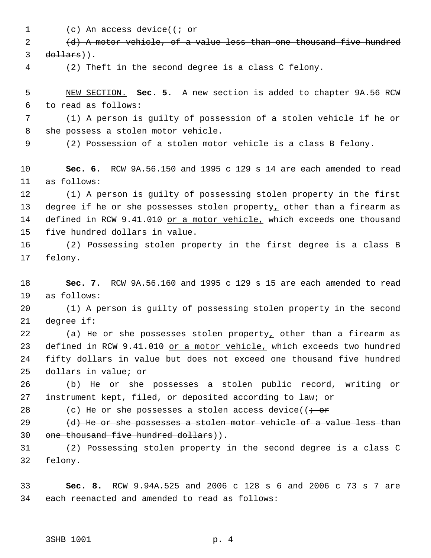1 (c) An access device(( $\dot{\tau}$  or

 (d) A motor vehicle, of a value less than one thousand five hundred dollars)).

(2) Theft in the second degree is a class C felony.

 NEW SECTION. **Sec. 5.** A new section is added to chapter 9A.56 RCW to read as follows:

 (1) A person is guilty of possession of a stolen vehicle if he or she possess a stolen motor vehicle.

(2) Possession of a stolen motor vehicle is a class B felony.

 **Sec. 6.** RCW 9A.56.150 and 1995 c 129 s 14 are each amended to read as follows:

 (1) A person is guilty of possessing stolen property in the first 13 degree if he or she possesses stolen property, other than a firearm as 14 defined in RCW 9.41.010 or a motor vehicle, which exceeds one thousand five hundred dollars in value.

 (2) Possessing stolen property in the first degree is a class B felony.

 **Sec. 7.** RCW 9A.56.160 and 1995 c 129 s 15 are each amended to read as follows:

 (1) A person is guilty of possessing stolen property in the second degree if:

 (a) He or she possesses stolen property, other than a firearm as 23 defined in RCW 9.41.010 or a motor vehicle, which exceeds two hundred fifty dollars in value but does not exceed one thousand five hundred dollars in value; or

 (b) He or she possesses a stolen public record, writing or instrument kept, filed, or deposited according to law; or

28 (c) He or she possesses a stolen access device( $\overline{(-\text{or}]}$ 

29  $(d)$  He or she possesses a stolen motor vehicle of a value less than one thousand five hundred dollars)).

 (2) Possessing stolen property in the second degree is a class C felony.

 **Sec. 8.** RCW 9.94A.525 and 2006 c 128 s 6 and 2006 c 73 s 7 are each reenacted and amended to read as follows: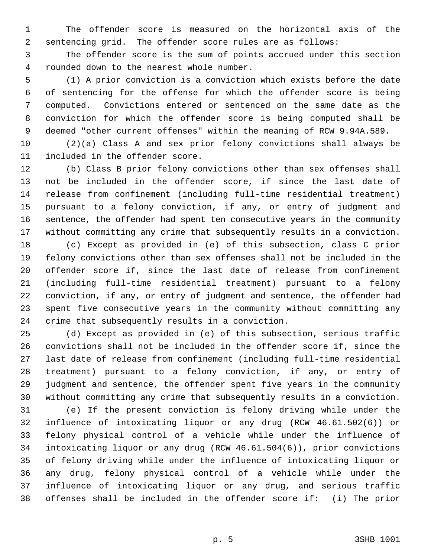The offender score is measured on the horizontal axis of the sentencing grid. The offender score rules are as follows:

 The offender score is the sum of points accrued under this section rounded down to the nearest whole number.

 (1) A prior conviction is a conviction which exists before the date of sentencing for the offense for which the offender score is being computed. Convictions entered or sentenced on the same date as the conviction for which the offender score is being computed shall be deemed "other current offenses" within the meaning of RCW 9.94A.589.

 (2)(a) Class A and sex prior felony convictions shall always be included in the offender score.

 (b) Class B prior felony convictions other than sex offenses shall not be included in the offender score, if since the last date of release from confinement (including full-time residential treatment) pursuant to a felony conviction, if any, or entry of judgment and sentence, the offender had spent ten consecutive years in the community without committing any crime that subsequently results in a conviction.

 (c) Except as provided in (e) of this subsection, class C prior felony convictions other than sex offenses shall not be included in the offender score if, since the last date of release from confinement (including full-time residential treatment) pursuant to a felony conviction, if any, or entry of judgment and sentence, the offender had spent five consecutive years in the community without committing any crime that subsequently results in a conviction.

 (d) Except as provided in (e) of this subsection, serious traffic convictions shall not be included in the offender score if, since the last date of release from confinement (including full-time residential treatment) pursuant to a felony conviction, if any, or entry of judgment and sentence, the offender spent five years in the community without committing any crime that subsequently results in a conviction.

 (e) If the present conviction is felony driving while under the influence of intoxicating liquor or any drug (RCW 46.61.502(6)) or felony physical control of a vehicle while under the influence of intoxicating liquor or any drug (RCW 46.61.504(6)), prior convictions of felony driving while under the influence of intoxicating liquor or any drug, felony physical control of a vehicle while under the influence of intoxicating liquor or any drug, and serious traffic offenses shall be included in the offender score if: (i) The prior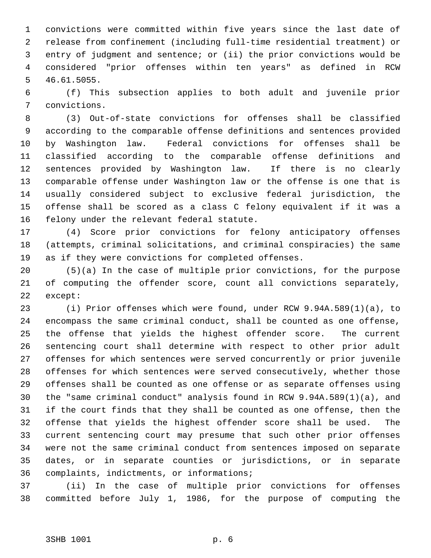convictions were committed within five years since the last date of release from confinement (including full-time residential treatment) or entry of judgment and sentence; or (ii) the prior convictions would be considered "prior offenses within ten years" as defined in RCW 46.61.5055.

 (f) This subsection applies to both adult and juvenile prior convictions.

 (3) Out-of-state convictions for offenses shall be classified according to the comparable offense definitions and sentences provided by Washington law. Federal convictions for offenses shall be classified according to the comparable offense definitions and sentences provided by Washington law. If there is no clearly comparable offense under Washington law or the offense is one that is usually considered subject to exclusive federal jurisdiction, the offense shall be scored as a class C felony equivalent if it was a felony under the relevant federal statute.

 (4) Score prior convictions for felony anticipatory offenses (attempts, criminal solicitations, and criminal conspiracies) the same as if they were convictions for completed offenses.

 (5)(a) In the case of multiple prior convictions, for the purpose of computing the offender score, count all convictions separately, except:

 (i) Prior offenses which were found, under RCW 9.94A.589(1)(a), to encompass the same criminal conduct, shall be counted as one offense, the offense that yields the highest offender score. The current sentencing court shall determine with respect to other prior adult offenses for which sentences were served concurrently or prior juvenile offenses for which sentences were served consecutively, whether those offenses shall be counted as one offense or as separate offenses using the "same criminal conduct" analysis found in RCW 9.94A.589(1)(a), and if the court finds that they shall be counted as one offense, then the offense that yields the highest offender score shall be used. The current sentencing court may presume that such other prior offenses were not the same criminal conduct from sentences imposed on separate dates, or in separate counties or jurisdictions, or in separate complaints, indictments, or informations;

 (ii) In the case of multiple prior convictions for offenses committed before July 1, 1986, for the purpose of computing the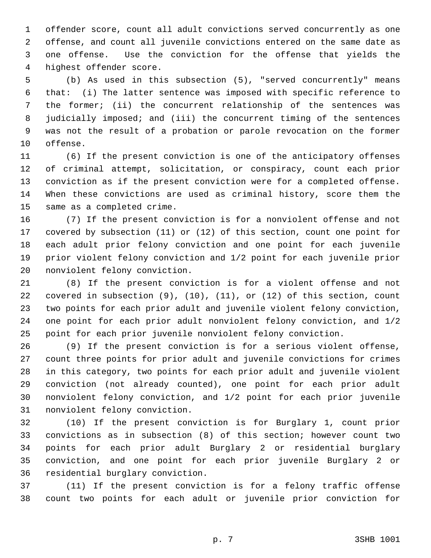offender score, count all adult convictions served concurrently as one offense, and count all juvenile convictions entered on the same date as one offense. Use the conviction for the offense that yields the highest offender score.

 (b) As used in this subsection (5), "served concurrently" means that: (i) The latter sentence was imposed with specific reference to the former; (ii) the concurrent relationship of the sentences was judicially imposed; and (iii) the concurrent timing of the sentences was not the result of a probation or parole revocation on the former offense.

 (6) If the present conviction is one of the anticipatory offenses of criminal attempt, solicitation, or conspiracy, count each prior conviction as if the present conviction were for a completed offense. When these convictions are used as criminal history, score them the same as a completed crime.

 (7) If the present conviction is for a nonviolent offense and not covered by subsection (11) or (12) of this section, count one point for each adult prior felony conviction and one point for each juvenile prior violent felony conviction and 1/2 point for each juvenile prior nonviolent felony conviction.

 (8) If the present conviction is for a violent offense and not covered in subsection (9), (10), (11), or (12) of this section, count two points for each prior adult and juvenile violent felony conviction, one point for each prior adult nonviolent felony conviction, and 1/2 point for each prior juvenile nonviolent felony conviction.

 (9) If the present conviction is for a serious violent offense, count three points for prior adult and juvenile convictions for crimes in this category, two points for each prior adult and juvenile violent conviction (not already counted), one point for each prior adult nonviolent felony conviction, and 1/2 point for each prior juvenile nonviolent felony conviction.

 (10) If the present conviction is for Burglary 1, count prior convictions as in subsection (8) of this section; however count two points for each prior adult Burglary 2 or residential burglary conviction, and one point for each prior juvenile Burglary 2 or residential burglary conviction.

 (11) If the present conviction is for a felony traffic offense count two points for each adult or juvenile prior conviction for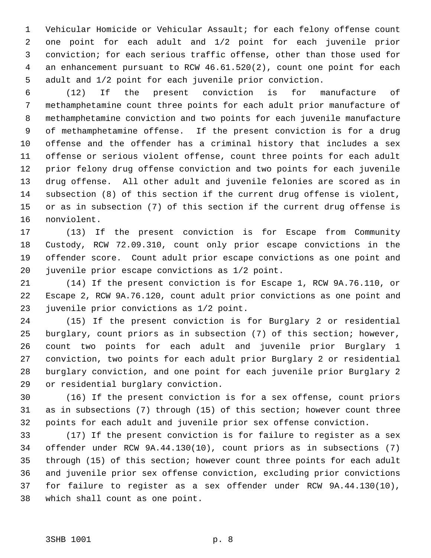Vehicular Homicide or Vehicular Assault; for each felony offense count one point for each adult and 1/2 point for each juvenile prior conviction; for each serious traffic offense, other than those used for an enhancement pursuant to RCW 46.61.520(2), count one point for each adult and 1/2 point for each juvenile prior conviction.

 (12) If the present conviction is for manufacture of methamphetamine count three points for each adult prior manufacture of methamphetamine conviction and two points for each juvenile manufacture of methamphetamine offense. If the present conviction is for a drug offense and the offender has a criminal history that includes a sex offense or serious violent offense, count three points for each adult prior felony drug offense conviction and two points for each juvenile drug offense. All other adult and juvenile felonies are scored as in subsection (8) of this section if the current drug offense is violent, or as in subsection (7) of this section if the current drug offense is nonviolent.

 (13) If the present conviction is for Escape from Community Custody, RCW 72.09.310, count only prior escape convictions in the offender score. Count adult prior escape convictions as one point and juvenile prior escape convictions as 1/2 point.

 (14) If the present conviction is for Escape 1, RCW 9A.76.110, or Escape 2, RCW 9A.76.120, count adult prior convictions as one point and juvenile prior convictions as 1/2 point.

 (15) If the present conviction is for Burglary 2 or residential burglary, count priors as in subsection (7) of this section; however, count two points for each adult and juvenile prior Burglary 1 conviction, two points for each adult prior Burglary 2 or residential burglary conviction, and one point for each juvenile prior Burglary 2 or residential burglary conviction.

 (16) If the present conviction is for a sex offense, count priors as in subsections (7) through (15) of this section; however count three points for each adult and juvenile prior sex offense conviction.

 (17) If the present conviction is for failure to register as a sex offender under RCW 9A.44.130(10), count priors as in subsections (7) through (15) of this section; however count three points for each adult and juvenile prior sex offense conviction, excluding prior convictions for failure to register as a sex offender under RCW 9A.44.130(10), which shall count as one point.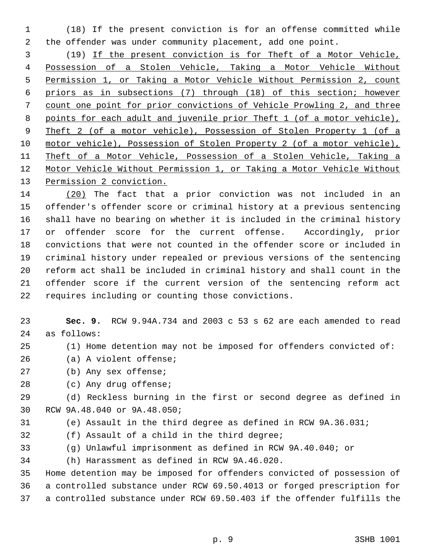(18) If the present conviction is for an offense committed while the offender was under community placement, add one point.

 (19) If the present conviction is for Theft of a Motor Vehicle, Possession of a Stolen Vehicle, Taking a Motor Vehicle Without Permission 1, or Taking a Motor Vehicle Without Permission 2, count priors as in subsections (7) through (18) of this section; however count one point for prior convictions of Vehicle Prowling 2, and three points for each adult and juvenile prior Theft 1 (of a motor vehicle), Theft 2 (of a motor vehicle), Possession of Stolen Property 1 (of a motor vehicle), Possession of Stolen Property 2 (of a motor vehicle), Theft of a Motor Vehicle, Possession of a Stolen Vehicle, Taking a Motor Vehicle Without Permission 1, or Taking a Motor Vehicle Without 13 Permission 2 conviction.

 (20) The fact that a prior conviction was not included in an offender's offender score or criminal history at a previous sentencing shall have no bearing on whether it is included in the criminal history or offender score for the current offense. Accordingly, prior convictions that were not counted in the offender score or included in criminal history under repealed or previous versions of the sentencing reform act shall be included in criminal history and shall count in the offender score if the current version of the sentencing reform act requires including or counting those convictions.

- **Sec. 9.** RCW 9.94A.734 and 2003 c 53 s 62 are each amended to read as follows:
- (1) Home detention may not be imposed for offenders convicted of:
- (a) A violent offense;
- (b) Any sex offense;
- (c) Any drug offense;

 (d) Reckless burning in the first or second degree as defined in RCW 9A.48.040 or 9A.48.050;

- (e) Assault in the third degree as defined in RCW 9A.36.031;
- (f) Assault of a child in the third degree;
- (g) Unlawful imprisonment as defined in RCW 9A.40.040; or

(h) Harassment as defined in RCW 9A.46.020.

 Home detention may be imposed for offenders convicted of possession of a controlled substance under RCW 69.50.4013 or forged prescription for a controlled substance under RCW 69.50.403 if the offender fulfills the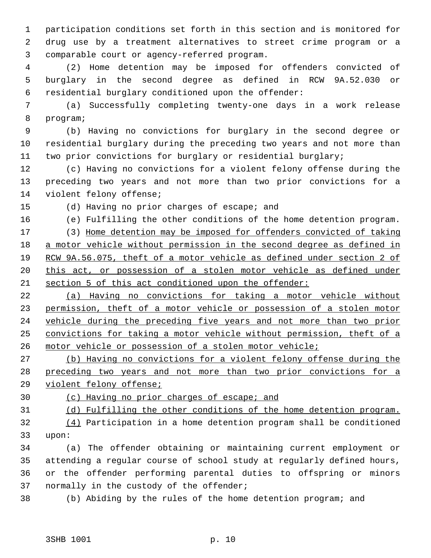participation conditions set forth in this section and is monitored for drug use by a treatment alternatives to street crime program or a comparable court or agency-referred program.

 (2) Home detention may be imposed for offenders convicted of burglary in the second degree as defined in RCW 9A.52.030 or residential burglary conditioned upon the offender:

 (a) Successfully completing twenty-one days in a work release program;

 (b) Having no convictions for burglary in the second degree or residential burglary during the preceding two years and not more than two prior convictions for burglary or residential burglary;

 (c) Having no convictions for a violent felony offense during the preceding two years and not more than two prior convictions for a violent felony offense;

(d) Having no prior charges of escape; and

(e) Fulfilling the other conditions of the home detention program.

 (3) Home detention may be imposed for offenders convicted of taking a motor vehicle without permission in the second degree as defined in RCW 9A.56.075, theft of a motor vehicle as defined under section 2 of 20 this act, or possession of a stolen motor vehicle as defined under section 5 of this act conditioned upon the offender:

 (a) Having no convictions for taking a motor vehicle without permission, theft of a motor vehicle or possession of a stolen motor vehicle during the preceding five years and not more than two prior convictions for taking a motor vehicle without permission, theft of a motor vehicle or possession of a stolen motor vehicle;

 (b) Having no convictions for a violent felony offense during the preceding two years and not more than two prior convictions for a violent felony offense;

(c) Having no prior charges of escape; and

(d) Fulfilling the other conditions of the home detention program.

 (4) Participation in a home detention program shall be conditioned upon:

 (a) The offender obtaining or maintaining current employment or attending a regular course of school study at regularly defined hours, or the offender performing parental duties to offspring or minors normally in the custody of the offender;

(b) Abiding by the rules of the home detention program; and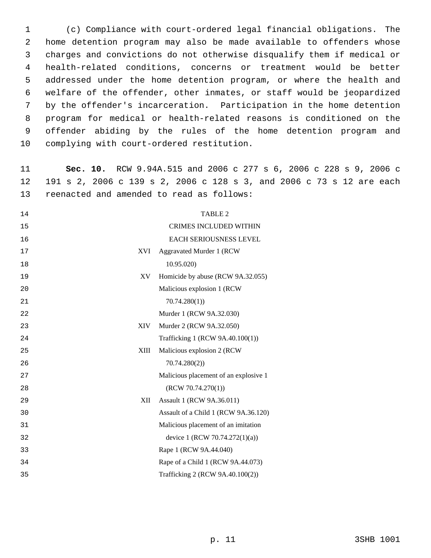(c) Compliance with court-ordered legal financial obligations. The home detention program may also be made available to offenders whose charges and convictions do not otherwise disqualify them if medical or health-related conditions, concerns or treatment would be better addressed under the home detention program, or where the health and welfare of the offender, other inmates, or staff would be jeopardized by the offender's incarceration. Participation in the home detention program for medical or health-related reasons is conditioned on the offender abiding by the rules of the home detention program and complying with court-ordered restitution.

 **Sec. 10.** RCW 9.94A.515 and 2006 c 277 s 6, 2006 c 228 s 9, 2006 c 191 s 2, 2006 c 139 s 2, 2006 c 128 s 3, and 2006 c 73 s 12 are each reenacted and amended to read as follows:

| 14 |            | <b>TABLE 2</b>                        |
|----|------------|---------------------------------------|
| 15 |            | <b>CRIMES INCLUDED WITHIN</b>         |
| 16 |            | EACH SERIOUSNESS LEVEL                |
| 17 | <b>XVI</b> | Aggravated Murder 1 (RCW              |
| 18 |            | 10.95.020)                            |
| 19 | XV         | Homicide by abuse (RCW 9A.32.055)     |
| 20 |            | Malicious explosion 1 (RCW)           |
| 21 |            | 70.74.280(1)                          |
| 22 |            | Murder 1 (RCW 9A.32.030)              |
| 23 | <b>XIV</b> | Murder 2 (RCW 9A.32.050)              |
| 24 |            | Trafficking 1 (RCW 9A.40.100(1))      |
| 25 | XIII       | Malicious explosion 2 (RCW            |
| 26 |            | 70.74.280(2)                          |
| 27 |            | Malicious placement of an explosive 1 |
| 28 |            | (RCW 70.74.270(1))                    |
| 29 | XII        | Assault 1 (RCW 9A.36.011)             |
| 30 |            | Assault of a Child 1 (RCW 9A.36.120)  |
| 31 |            | Malicious placement of an imitation   |
| 32 |            | device 1 (RCW 70.74.272(1)(a))        |
| 33 |            | Rape 1 (RCW 9A.44.040)                |
| 34 |            | Rape of a Child 1 (RCW 9A.44.073)     |
| 35 |            | Trafficking 2 (RCW 9A.40.100(2))      |
|    |            |                                       |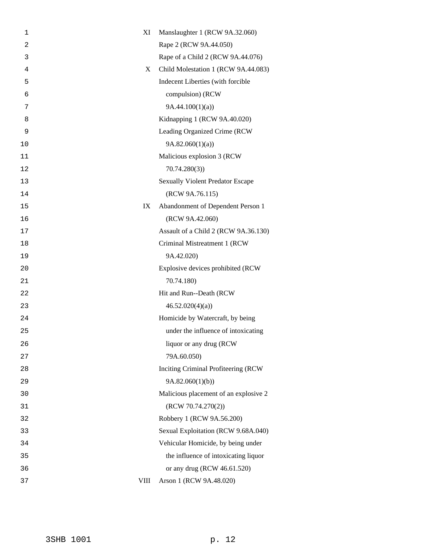| 1              | XI          | Manslaughter 1 (RCW 9A.32.060)          |
|----------------|-------------|-----------------------------------------|
| $\overline{c}$ |             | Rape 2 (RCW 9A.44.050)                  |
| 3              |             | Rape of a Child 2 (RCW 9A.44.076)       |
| 4              | X           | Child Molestation 1 (RCW 9A.44.083)     |
| 5              |             | Indecent Liberties (with forcible       |
| 6              |             | compulsion) (RCW                        |
| 7              |             | 9A.44.100(1)(a)                         |
| 8              |             | Kidnapping 1 (RCW 9A.40.020)            |
| 9              |             | Leading Organized Crime (RCW            |
| 10             |             | 9A.82.060(1)(a)                         |
| 11             |             | Malicious explosion 3 (RCW              |
| 12             |             | 70.74.280(3)                            |
| 13             |             | <b>Sexually Violent Predator Escape</b> |
| 14             |             | (RCW 9A.76.115)                         |
| 15             | IX          | Abandonment of Dependent Person 1       |
| 16             |             | (RCW 9A.42.060)                         |
| 17             |             | Assault of a Child 2 (RCW 9A.36.130)    |
| 18             |             | Criminal Mistreatment 1 (RCW            |
| 19             |             | 9A.42.020)                              |
| 20             |             | Explosive devices prohibited (RCW       |
| 21             |             | 70.74.180)                              |
| 22             |             | Hit and Run--Death (RCW                 |
| 23             |             | 46.52.020(4)(a)                         |
| 24             |             | Homicide by Watercraft, by being        |
| 25             |             | under the influence of intoxicating     |
| 26             |             | liquor or any drug (RCW)                |
| 27             |             | 79A.60.050)                             |
| 28             |             | Inciting Criminal Profiteering (RCW     |
| 29             |             | 9A.82.060(1)(b)                         |
| 30             |             | Malicious placement of an explosive 2   |
| 31             |             | (RCW 70.74.270(2))                      |
| 32             |             | Robbery 1 (RCW 9A.56.200)               |
| 33             |             | Sexual Exploitation (RCW 9.68A.040)     |
| 34             |             | Vehicular Homicide, by being under      |
| 35             |             | the influence of intoxicating liquor    |
| 36             |             | or any drug (RCW 46.61.520)             |
| 37             | <b>VIII</b> | Arson 1 (RCW 9A.48.020)                 |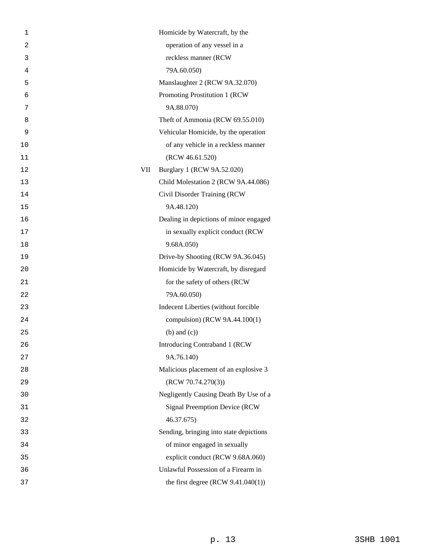| 1  |     | Homicide by Watercraft, by the          |
|----|-----|-----------------------------------------|
| 2  |     | operation of any vessel in a            |
| 3  |     | reckless manner (RCW                    |
| 4  |     | 79A.60.050)                             |
| 5  |     | Manslaughter 2 (RCW 9A.32.070)          |
| 6  |     | Promoting Prostitution 1 (RCW           |
| 7  |     | 9A.88.070)                              |
| 8  |     | Theft of Ammonia (RCW 69.55.010)        |
| 9  |     | Vehicular Homicide, by the operation    |
| 10 |     | of any vehicle in a reckless manner     |
| 11 |     | (RCW 46.61.520)                         |
| 12 | VII | Burglary 1 (RCW 9A.52.020)              |
| 13 |     | Child Molestation 2 (RCW 9A.44.086)     |
| 14 |     | Civil Disorder Training (RCW            |
| 15 |     | 9A.48.120)                              |
| 16 |     | Dealing in depictions of minor engaged  |
| 17 |     | in sexually explicit conduct (RCW       |
| 18 |     | 9.68A.050)                              |
| 19 |     | Drive-by Shooting (RCW 9A.36.045)       |
| 20 |     | Homicide by Watercraft, by disregard    |
| 21 |     | for the safety of others (RCW           |
| 22 |     | 79A.60.050)                             |
| 23 |     | Indecent Liberties (without forcible    |
| 24 |     | compulsion) (RCW 9A.44.100(1)           |
| 25 |     | $(b)$ and $(c)$ )                       |
| 26 |     | Introducing Contraband 1 (RCW           |
| 27 |     | 9A.76.140)                              |
| 28 |     | Malicious placement of an explosive 3   |
| 29 |     | (RCW 70.74.270(3))                      |
| 30 |     | Negligently Causing Death By Use of a   |
| 31 |     | <b>Signal Preemption Device (RCW)</b>   |
| 32 |     | 46.37.675)                              |
| 33 |     | Sending, bringing into state depictions |
| 34 |     | of minor engaged in sexually            |
| 35 |     | explicit conduct (RCW 9.68A.060)        |
| 36 |     | Unlawful Possession of a Firearm in     |
| 37 |     | the first degree $(RCW 9.41.040(1))$    |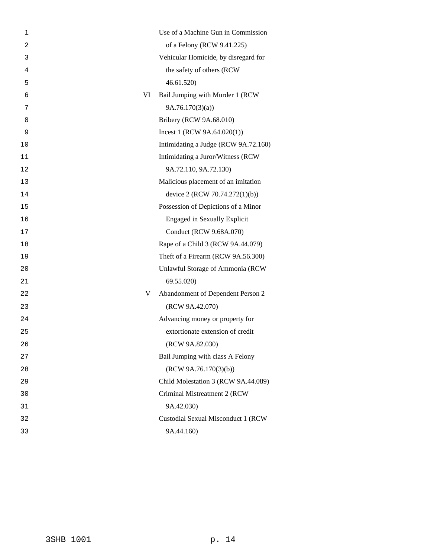| 1  | Use of a Machine Gun in Commission     |
|----|----------------------------------------|
| 2  | of a Felony (RCW 9.41.225)             |
| 3  | Vehicular Homicide, by disregard for   |
| 4  | the safety of others (RCW              |
| 5  | 46.61.520                              |
| 6  | VI<br>Bail Jumping with Murder 1 (RCW  |
| 7  | 9A.76.170(3)(a)                        |
| 8  | Bribery (RCW 9A.68.010)                |
| 9  | Incest 1 (RCW $9A.64.020(1)$ )         |
| 10 | Intimidating a Judge (RCW 9A.72.160)   |
| 11 | Intimidating a Juror/Witness (RCW      |
| 12 | 9A.72.110, 9A.72.130)                  |
| 13 | Malicious placement of an imitation    |
| 14 | device 2 (RCW 70.74.272(1)(b))         |
| 15 | Possession of Depictions of a Minor    |
| 16 | <b>Engaged in Sexually Explicit</b>    |
| 17 | Conduct (RCW 9.68A.070)                |
| 18 | Rape of a Child 3 (RCW 9A.44.079)      |
| 19 | Theft of a Firearm (RCW 9A.56.300)     |
| 20 | Unlawful Storage of Ammonia (RCW       |
| 21 | 69.55.020)                             |
| 22 | Abandonment of Dependent Person 2<br>V |
| 23 | (RCW 9A.42.070)                        |
| 24 | Advancing money or property for        |
| 25 | extortionate extension of credit       |
| 26 | (RCW 9A.82.030)                        |
| 27 | Bail Jumping with class A Felony       |
| 28 | (RCW 9A.76.170(3)(b))                  |
| 29 | Child Molestation 3 (RCW 9A.44.089)    |
| 30 | Criminal Mistreatment 2 (RCW)          |
| 31 | 9A.42.030)                             |
| 32 | Custodial Sexual Misconduct 1 (RCW     |
| 33 | 9A.44.160)                             |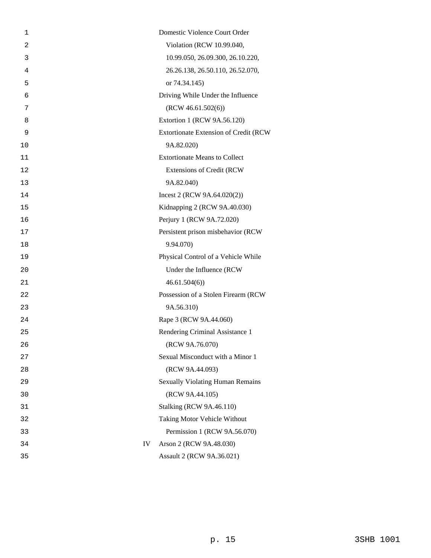| 1  |    | Domestic Violence Court Order           |
|----|----|-----------------------------------------|
| 2  |    | Violation (RCW 10.99.040,               |
| 3  |    | 10.99.050, 26.09.300, 26.10.220,        |
| 4  |    | 26.26.138, 26.50.110, 26.52.070,        |
| 5  |    | or 74.34.145)                           |
| 6  |    | Driving While Under the Influence       |
| 7  |    | (RCW 46.61.502(6))                      |
| 8  |    | Extortion 1 (RCW 9A.56.120)             |
| 9  |    | Extortionate Extension of Credit (RCW   |
| 10 |    | 9A.82.020)                              |
| 11 |    | <b>Extortionate Means to Collect</b>    |
| 12 |    | <b>Extensions of Credit (RCW</b>        |
| 13 |    | 9A.82.040)                              |
| 14 |    | Incest 2 (RCW 9A.64.020(2))             |
| 15 |    | Kidnapping 2 (RCW 9A.40.030)            |
| 16 |    | Perjury 1 (RCW 9A.72.020)               |
| 17 |    | Persistent prison misbehavior (RCW      |
| 18 |    | 9.94.070)                               |
| 19 |    | Physical Control of a Vehicle While     |
| 20 |    | Under the Influence (RCW                |
| 21 |    | 46.61.504(6)                            |
| 22 |    | Possession of a Stolen Firearm (RCW     |
| 23 |    | 9A.56.310)                              |
| 24 |    | Rape 3 (RCW 9A.44.060)                  |
| 25 |    | Rendering Criminal Assistance 1         |
| 26 |    | (RCW 9A.76.070)                         |
| 27 |    | Sexual Misconduct with a Minor 1        |
| 28 |    | (RCW 9A.44.093)                         |
| 29 |    | <b>Sexually Violating Human Remains</b> |
| 30 |    | (RCW 9A.44.105)                         |
| 31 |    | <b>Stalking (RCW 9A.46.110)</b>         |
| 32 |    | Taking Motor Vehicle Without            |
| 33 |    | Permission 1 (RCW 9A.56.070)            |
| 34 | IV | Arson 2 (RCW 9A.48.030)                 |
| 35 |    | Assault 2 (RCW 9A.36.021)               |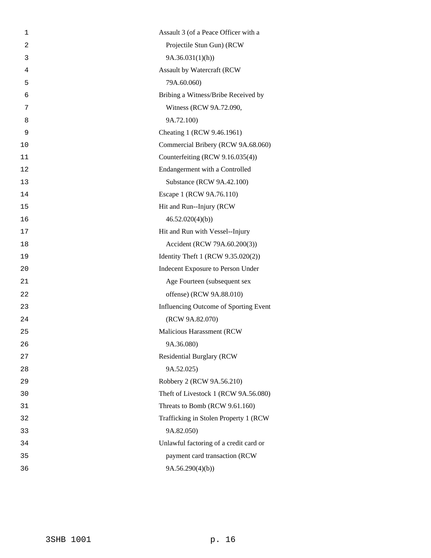| 1  | Assault 3 (of a Peace Officer with a   |
|----|----------------------------------------|
| 2  | Projectile Stun Gun) (RCW              |
| 3  | 9A.36.031(1)(h)                        |
| 4  | Assault by Watercraft (RCW             |
| 5  | 79A.60.060)                            |
| 6  | Bribing a Witness/Bribe Received by    |
| 7  | Witness (RCW 9A.72.090,                |
| 8  | 9A.72.100)                             |
| 9  | Cheating 1 (RCW 9.46.1961)             |
| 10 | Commercial Bribery (RCW 9A.68.060)     |
| 11 | Counterfeiting (RCW 9.16.035(4))       |
| 12 | Endangerment with a Controlled         |
| 13 | Substance (RCW 9A.42.100)              |
| 14 | Escape 1 (RCW 9A.76.110)               |
| 15 | Hit and Run--Injury (RCW               |
| 16 | 46.52.020(4)(b)                        |
| 17 | Hit and Run with Vessel--Injury        |
| 18 | Accident (RCW 79A.60.200(3))           |
| 19 | Identity Theft 1 (RCW 9.35.020(2))     |
| 20 | Indecent Exposure to Person Under      |
| 21 | Age Fourteen (subsequent sex           |
| 22 | offense) (RCW 9A.88.010)               |
| 23 | Influencing Outcome of Sporting Event  |
| 24 | (RCW 9A.82.070)                        |
| 25 | Malicious Harassment (RCW              |
| 26 | 9A.36.080)                             |
| 27 | <b>Residential Burglary (RCW</b>       |
| 28 | 9A.52.025)                             |
| 29 | Robbery 2 (RCW 9A.56.210)              |
| 30 | Theft of Livestock 1 (RCW 9A.56.080)   |
| 31 | Threats to Bomb (RCW 9.61.160)         |
| 32 | Trafficking in Stolen Property 1 (RCW) |
| 33 | 9A.82.050)                             |
| 34 | Unlawful factoring of a credit card or |
| 35 | payment card transaction (RCW          |
| 36 | 9A.56.290(4)(b)                        |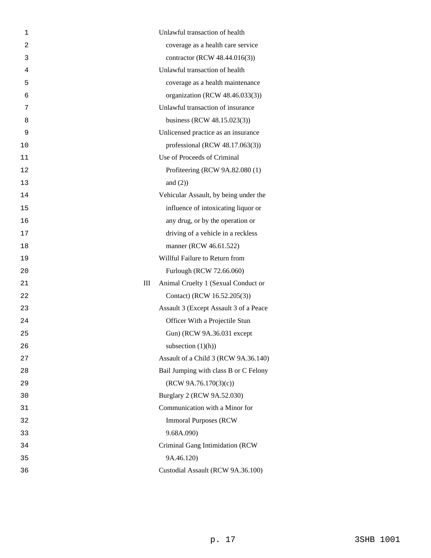| 1              | Unlawful transaction of health           |
|----------------|------------------------------------------|
| $\overline{2}$ | coverage as a health care service        |
| 3              | contractor (RCW 48.44.016(3))            |
| 4              | Unlawful transaction of health           |
| 5              | coverage as a health maintenance         |
| 6              | organization (RCW 48.46.033(3))          |
| 7              | Unlawful transaction of insurance        |
| 8              | business (RCW 48.15.023(3))              |
| 9              | Unlicensed practice as an insurance      |
| 10             | professional (RCW $48.17.063(3)$ )       |
| 11             | Use of Proceeds of Criminal              |
| 12             | Profiteering (RCW 9A.82.080 (1)          |
| 13             | and $(2)$ )                              |
| 14             | Vehicular Assault, by being under the    |
| 15             | influence of intoxicating liquor or      |
| 16             | any drug, or by the operation or         |
| 17             | driving of a vehicle in a reckless       |
| 18             | manner (RCW 46.61.522)                   |
| 19             | Willful Failure to Return from           |
| 20             | Furlough (RCW 72.66.060)                 |
| 21             | Ш<br>Animal Cruelty 1 (Sexual Conduct or |
| 22             | Contact) (RCW 16.52.205(3))              |
| 23             | Assault 3 (Except Assault 3 of a Peace   |
| 24             | Officer With a Projectile Stun           |
| 25             | Gun) (RCW 9A.36.031 except               |
| 26             | subsection $(1)(h)$                      |
| 27             | Assault of a Child 3 (RCW 9A.36.140)     |
| 28             | Bail Jumping with class B or C Felony    |
| 29             | (RCW 9A.76.170(3)(c))                    |
| 30             | Burglary 2 (RCW 9A.52.030)               |
| 31             | Communication with a Minor for           |
| 32             | <b>Immoral Purposes (RCW)</b>            |
| 33             | 9.68A.090)                               |
| 34             | Criminal Gang Intimidation (RCW          |
| 35             | 9A.46.120)                               |
| 36             | Custodial Assault (RCW 9A.36.100)        |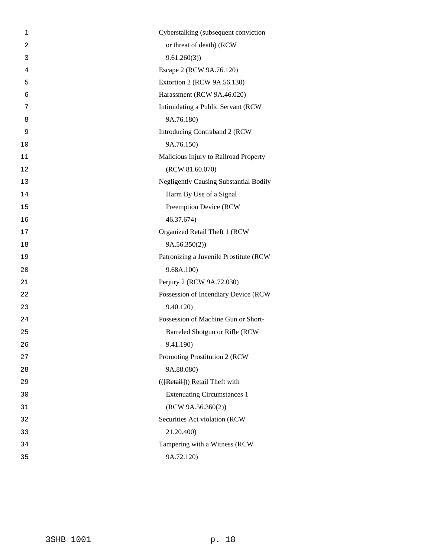| 1              | Cyberstalking (subsequent conviction          |
|----------------|-----------------------------------------------|
| $\overline{2}$ | or threat of death) (RCW                      |
| 3              | 9.61.260(3)                                   |
| 4              | Escape 2 (RCW 9A.76.120)                      |
| 5              | Extortion 2 (RCW 9A.56.130)                   |
| 6              | Harassment (RCW 9A.46.020)                    |
| 7              | Intimidating a Public Servant (RCW)           |
| 8              | 9A.76.180)                                    |
| 9              | Introducing Contraband 2 (RCW                 |
| 10             | 9A.76.150)                                    |
| 11             | Malicious Injury to Railroad Property         |
| 12             | (RCW 81.60.070)                               |
| 13             | <b>Negligently Causing Substantial Bodily</b> |
| 14             | Harm By Use of a Signal                       |
| 15             | Preemption Device (RCW                        |
| 16             | 46.37.674)                                    |
| 17             | Organized Retail Theft 1 (RCW                 |
| 18             | 9A.56.350(2))                                 |
| 19             | Patronizing a Juvenile Prostitute (RCW        |
| 20             | 9.68A.100                                     |
| 21             | Perjury 2 (RCW 9A.72.030)                     |
| 22             | Possession of Incendiary Device (RCW          |
| 23             | 9.40.120)                                     |
| 24             | Possession of Machine Gun or Short-           |
| 25             | Barreled Shotgun or Rifle (RCW                |
| 26             | 9.41.190)                                     |
| 27             | Promoting Prostitution 2 (RCW                 |
| 28             | 9A.88.080)                                    |
| 29             | (({Retail})) Retail Theft with                |
| 30             | <b>Extenuating Circumstances 1</b>            |
| 31             | (RCW 9A.56.360(2))                            |
| 32             | Securities Act violation (RCW                 |
| 33             | 21.20.400)                                    |
| 34             | Tampering with a Witness (RCW                 |
| 35             | 9A.72.120)                                    |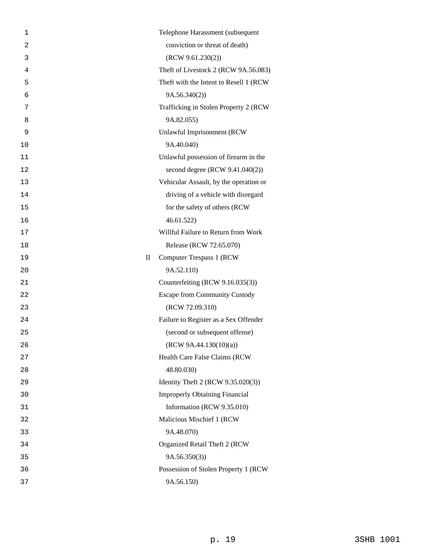| 1              |                        | Telephone Harassment (subsequent        |
|----------------|------------------------|-----------------------------------------|
| $\overline{2}$ |                        | conviction or threat of death)          |
| 3              |                        | (RCW 9.61.230(2))                       |
| 4              |                        | Theft of Livestock 2 (RCW 9A.56.083)    |
| 5              |                        | Theft with the Intent to Resell 1 (RCW) |
| 6              |                        | 9A.56.340(2)                            |
| 7              |                        | Trafficking in Stolen Property 2 (RCW   |
| 8              |                        | 9A.82.055)                              |
| 9              |                        | Unlawful Imprisonment (RCW              |
| 10             |                        | 9A.40.040)                              |
| 11             |                        | Unlawful possession of firearm in the   |
| 12             |                        | second degree (RCW 9.41.040(2))         |
| 13             |                        | Vehicular Assault, by the operation or  |
| 14             |                        | driving of a vehicle with disregard     |
| 15             |                        | for the safety of others (RCW           |
| 16             |                        | 46.61.522                               |
| 17             |                        | Willful Failure to Return from Work     |
| 18             |                        | Release (RCW 72.65.070)                 |
| 19             | $\mathop{\mathrm{II}}$ | Computer Trespass 1 (RCW)               |
| 20             |                        | 9A.52.110)                              |
| 21             |                        | Counterfeiting (RCW 9.16.035(3))        |
| 22             |                        | <b>Escape from Community Custody</b>    |
| 23             |                        | (RCW 72.09.310)                         |
| 24             |                        | Failure to Register as a Sex Offender   |
| 25             |                        | (second or subsequent offense)          |
| 26             |                        | (RCW 9A.44.130(10)(a))                  |
| 27             |                        | Health Care False Claims (RCW           |
| 28             |                        | 48.80.030)                              |
| 29             |                        | Identity Theft 2 (RCW 9.35.020(3))      |
| 30             |                        | <b>Improperly Obtaining Financial</b>   |
| 31             |                        | Information (RCW 9.35.010)              |
| 32             |                        | Malicious Mischief 1 (RCW               |
| 33             |                        | 9A.48.070)                              |
| 34             |                        | Organized Retail Theft 2 (RCW           |
| 35             |                        | 9A.56.350(3)                            |
| 36             |                        | Possession of Stolen Property 1 (RCW    |
| 37             |                        | 9A.56.150)                              |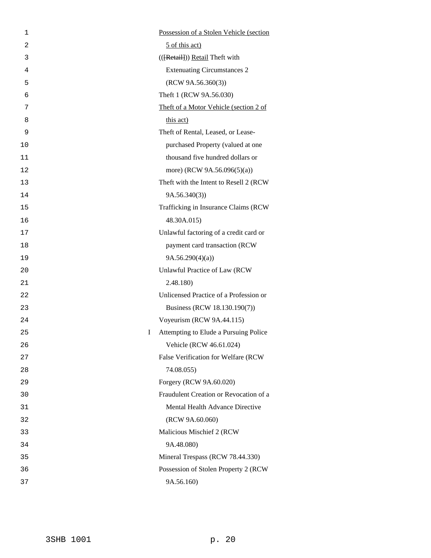| 1              |    | Possession of a Stolen Vehicle (section |
|----------------|----|-----------------------------------------|
| $\overline{2}$ |    | 5 of this act)                          |
| 3              |    | (([Retail]) Retail Theft with           |
| 4              |    | <b>Extenuating Circumstances 2</b>      |
| 5              |    | (RCW 9A.56.360(3))                      |
| 6              |    | Theft 1 (RCW 9A.56.030)                 |
| 7              |    | Theft of a Motor Vehicle (section 2 of  |
| 8              |    | this act)                               |
| 9              |    | Theft of Rental, Leased, or Lease-      |
| 10             |    | purchased Property (valued at one       |
| 11             |    | thousand five hundred dollars or        |
| 12             |    | more) (RCW 9A.56.096(5)(a))             |
| 13             |    | Theft with the Intent to Resell 2 (RCW  |
| 14             |    | 9A.56.340(3)                            |
| 15             |    | Trafficking in Insurance Claims (RCW    |
| 16             |    | 48.30A.015)                             |
| 17             |    | Unlawful factoring of a credit card or  |
| 18             |    | payment card transaction (RCW           |
| 19             |    | 9A.56.290(4)(a)                         |
| 20             |    | Unlawful Practice of Law (RCW           |
| 21             |    | 2.48.180)                               |
| 22             |    | Unlicensed Practice of a Profession or  |
| 23             |    | Business (RCW 18.130.190(7))            |
| 24             |    | Voyeurism (RCW 9A.44.115)               |
| 25             | Ι. | Attempting to Elude a Pursuing Police   |
| 26             |    | Vehicle (RCW 46.61.024)                 |
| 27             |    | False Verification for Welfare (RCW     |
| 28             |    | 74.08.055)                              |
| 29             |    | Forgery (RCW 9A.60.020)                 |
| 30             |    | Fraudulent Creation or Revocation of a  |
| 31             |    | Mental Health Advance Directive         |
| 32             |    | (RCW 9A.60.060)                         |
| 33             |    | Malicious Mischief 2 (RCW)              |
| 34             |    | 9A.48.080)                              |
| 35             |    | Mineral Trespass (RCW 78.44.330)        |
| 36             |    | Possession of Stolen Property 2 (RCW    |
| 37             |    | 9A.56.160)                              |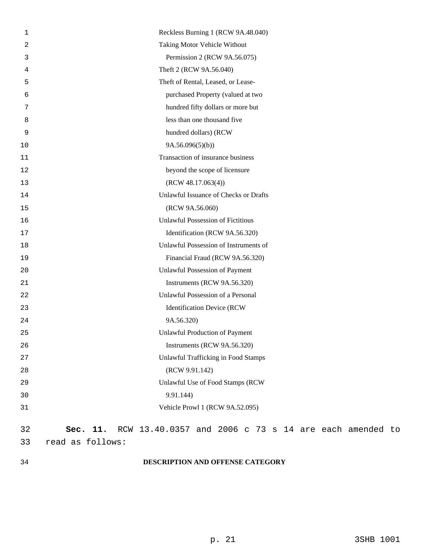| Taking Motor Vehicle Without<br>2<br>Permission 2 (RCW 9A.56.075)<br>3<br>Theft 2 (RCW 9A.56.040)<br>4<br>Theft of Rental, Leased, or Lease-<br>5<br>purchased Property (valued at two<br>6<br>hundred fifty dollars or more but<br>7<br>less than one thousand five<br>8 |  |
|---------------------------------------------------------------------------------------------------------------------------------------------------------------------------------------------------------------------------------------------------------------------------|--|
|                                                                                                                                                                                                                                                                           |  |
|                                                                                                                                                                                                                                                                           |  |
|                                                                                                                                                                                                                                                                           |  |
|                                                                                                                                                                                                                                                                           |  |
|                                                                                                                                                                                                                                                                           |  |
|                                                                                                                                                                                                                                                                           |  |
|                                                                                                                                                                                                                                                                           |  |
| hundred dollars) (RCW<br>9                                                                                                                                                                                                                                                |  |
| 9A.56.096(5)(b)<br>10                                                                                                                                                                                                                                                     |  |
| Transaction of insurance business<br>11                                                                                                                                                                                                                                   |  |
| beyond the scope of licensure<br>12                                                                                                                                                                                                                                       |  |
| (RCW 48.17.063(4))<br>13                                                                                                                                                                                                                                                  |  |
| Unlawful Issuance of Checks or Drafts<br>14                                                                                                                                                                                                                               |  |
| (RCW 9A.56.060)<br>15                                                                                                                                                                                                                                                     |  |
| <b>Unlawful Possession of Fictitious</b><br>16                                                                                                                                                                                                                            |  |
| Identification (RCW 9A.56.320)<br>17                                                                                                                                                                                                                                      |  |
| Unlawful Possession of Instruments of<br>18                                                                                                                                                                                                                               |  |
| Financial Fraud (RCW 9A.56.320)<br>19                                                                                                                                                                                                                                     |  |
| Unlawful Possession of Payment<br>20                                                                                                                                                                                                                                      |  |
| Instruments (RCW 9A.56.320)<br>21                                                                                                                                                                                                                                         |  |
| Unlawful Possession of a Personal<br>22                                                                                                                                                                                                                                   |  |
| <b>Identification Device (RCW</b><br>23                                                                                                                                                                                                                                   |  |
| 9A.56.320)<br>24                                                                                                                                                                                                                                                          |  |
| <b>Unlawful Production of Payment</b><br>25                                                                                                                                                                                                                               |  |
| 26<br>Instruments (RCW 9A.56.320)                                                                                                                                                                                                                                         |  |
| <b>Unlawful Trafficking in Food Stamps</b><br>27                                                                                                                                                                                                                          |  |
| (RCW 9.91.142)<br>28                                                                                                                                                                                                                                                      |  |
| Unlawful Use of Food Stamps (RCW<br>29                                                                                                                                                                                                                                    |  |
| 9.91.144)<br>30                                                                                                                                                                                                                                                           |  |
| Vehicle Prowl 1 (RCW 9A.52.095)<br>31                                                                                                                                                                                                                                     |  |
| RCW 13.40.0357 and 2006 c 73 s 14 are each amended to<br>32<br>Sec. 11.                                                                                                                                                                                                   |  |
| 33<br>read as follows:                                                                                                                                                                                                                                                    |  |

# 34 **DESCRIPTION AND OFFENSE CATEGORY**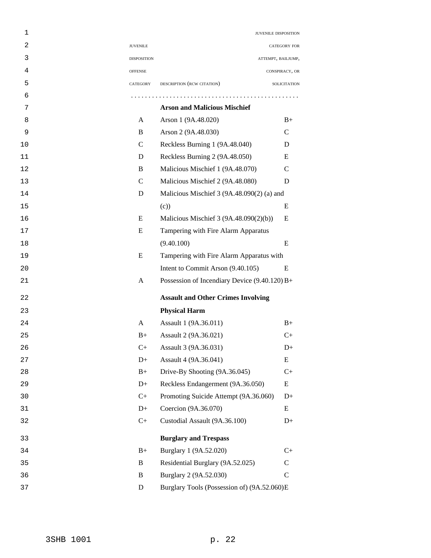| 1  |                    | JUVENILE DISPOSITION                          |                    |
|----|--------------------|-----------------------------------------------|--------------------|
| 2  | <b>JUVENILE</b>    |                                               | CATEGORY FOR       |
| 3  | <b>DISPOSITION</b> |                                               | ATTEMPT, BAILJUMP, |
| 4  | <b>OFFENSE</b>     |                                               | CONSPIRACY, OR     |
| 5  | CATEGORY           | DESCRIPTION (RCW CITATION)                    | SOLICITATION       |
| 6  |                    |                                               |                    |
| 7  |                    | <b>Arson and Malicious Mischief</b>           |                    |
| 8  | A                  | Arson 1 (9A.48.020)                           | $B+$               |
| 9  | B                  | Arson 2 (9A.48.030)                           | $\mathsf{C}$       |
| 10 | $\mathcal{C}$      | Reckless Burning 1 (9A.48.040)                | D                  |
| 11 | D                  | Reckless Burning 2 (9A.48.050)                | E                  |
| 12 | B                  | Malicious Mischief 1 (9A.48.070)              | C                  |
| 13 | $\mathsf{C}$       | Malicious Mischief 2 (9A.48.080)              | D                  |
| 14 | D                  | Malicious Mischief 3 (9A.48.090(2) (a) and    |                    |
| 15 |                    | (c)                                           | E                  |
| 16 | E                  | Malicious Mischief 3 (9A.48.090(2)(b))        | E                  |
| 17 | E                  | Tampering with Fire Alarm Apparatus           |                    |
| 18 |                    | (9.40.100)                                    | E                  |
| 19 | E                  | Tampering with Fire Alarm Apparatus with      |                    |
| 20 |                    | Intent to Commit Arson (9.40.105)             | E                  |
| 21 | A                  | Possession of Incendiary Device (9.40.120) B+ |                    |
| 22 |                    | <b>Assault and Other Crimes Involving</b>     |                    |
| 23 |                    | <b>Physical Harm</b>                          |                    |
| 24 | A                  | Assault 1 (9A.36.011)                         | $B+$               |
| 25 | $B+$               | Assault 2 (9A.36.021)                         | C+                 |
| 26 | $C+$               | Assault 3 (9A.36.031)                         | $D+$               |
| 27 | $D+$               | Assault 4 (9A.36.041)                         | E                  |
| 28 | $B+$               | Drive-By Shooting (9A.36.045)                 | $C+$               |
| 29 | $D+$               | Reckless Endangerment (9A.36.050)             | E                  |
| 30 | $C+$               | Promoting Suicide Attempt (9A.36.060)         | $D+$               |
| 31 | $D+$               | Coercion (9A.36.070)                          | E                  |
| 32 | $C+$               | Custodial Assault (9A.36.100)                 | $D+$               |
| 33 |                    | <b>Burglary and Trespass</b>                  |                    |
| 34 | $B+$               | Burglary 1 (9A.52.020)                        | $C+$               |
| 35 | $\bf{B}$           | Residential Burglary (9A.52.025)              | $\mathbf C$        |
| 36 | B                  | Burglary 2 (9A.52.030)                        | $\mathbf C$        |
| 37 | $\mathbf D$        | Burglary Tools (Possession of) (9A.52.060)E   |                    |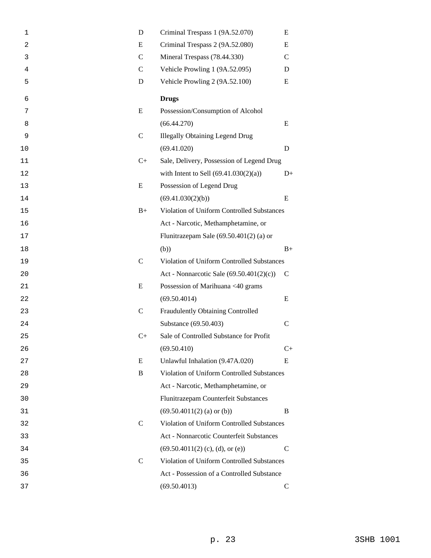| 1  | D             | Criminal Trespass 1 (9A.52.070)            | E             |  |
|----|---------------|--------------------------------------------|---------------|--|
| 2  | E             | Criminal Trespass 2 (9A.52.080)            |               |  |
| 3  | $\mathsf{C}$  | Mineral Trespass (78.44.330)               | $\mathcal{C}$ |  |
| 4  | $\mathcal{C}$ | Vehicle Prowling 1 (9A.52.095)             | D             |  |
| 5  | D             | Vehicle Prowling 2 (9A.52.100)             | E             |  |
| 6  |               | <b>Drugs</b>                               |               |  |
| 7  | E             | Possession/Consumption of Alcohol          |               |  |
| 8  |               | (66.44.270)                                | E             |  |
| 9  | $\mathsf{C}$  | <b>Illegally Obtaining Legend Drug</b>     |               |  |
| 10 |               | (69.41.020)                                | D             |  |
| 11 | $C+$          | Sale, Delivery, Possession of Legend Drug  |               |  |
| 12 |               | with Intent to Sell $(69.41.030(2)(a))$    | $D+$          |  |
| 13 | E             | Possession of Legend Drug                  |               |  |
| 14 |               | (69.41.030(2)(b))                          | E             |  |
| 15 | $B+$          | Violation of Uniform Controlled Substances |               |  |
| 16 |               | Act - Narcotic, Methamphetamine, or        |               |  |
| 17 |               | Flunitrazepam Sale $(69.50.401(2)$ (a) or  |               |  |
| 18 |               | (b))                                       | $B+$          |  |
| 19 | $\mathsf{C}$  | Violation of Uniform Controlled Substances |               |  |
| 20 |               | Act - Nonnarcotic Sale (69.50.401(2)(c))   | $\mathsf{C}$  |  |
| 21 | E             | Possession of Marihuana <40 grams          |               |  |
| 22 |               | (69.50.4014)                               | E             |  |
| 23 | $\mathsf{C}$  | Fraudulently Obtaining Controlled          |               |  |
| 24 |               | Substance (69.50.403)                      | $\mathsf{C}$  |  |
| 25 | $C+$          | Sale of Controlled Substance for Profit    |               |  |
| 26 |               | (69.50.410)                                | $C+$          |  |
| 27 | E             | Unlawful Inhalation (9.47A.020)            | E             |  |
| 28 | B             | Violation of Uniform Controlled Substances |               |  |
| 29 |               | Act - Narcotic, Methamphetamine, or        |               |  |
| 30 |               | Flunitrazepam Counterfeit Substances       |               |  |
| 31 |               | $(69.50.4011(2)$ (a) or (b))               | B             |  |
| 32 | $\mathsf{C}$  | Violation of Uniform Controlled Substances |               |  |
| 33 |               | Act - Nonnarcotic Counterfeit Substances   |               |  |
| 34 |               | $(69.50.4011(2)$ (c), (d), or (e))         | $\mathcal{C}$ |  |
| 35 | $\mathcal{C}$ | Violation of Uniform Controlled Substances |               |  |
| 36 |               | Act - Possession of a Controlled Substance |               |  |
| 37 |               | (69.50.4013)                               | $\mathsf{C}$  |  |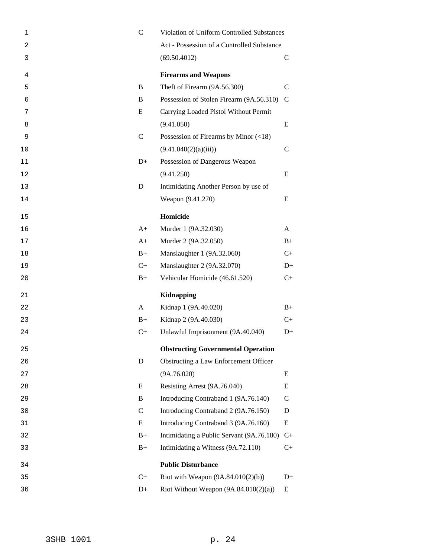| $\mathbf 1$    | $\mathbf C$  | Violation of Uniform Controlled Substances  |               |  |
|----------------|--------------|---------------------------------------------|---------------|--|
| $\overline{c}$ |              | Act - Possession of a Controlled Substance  |               |  |
| 3              |              | (69.50.4012)                                | $\mathcal{C}$ |  |
| 4              |              | <b>Firearms and Weapons</b>                 |               |  |
| 5              | B            | Theft of Firearm (9A.56.300)                | $\mathsf{C}$  |  |
| 6              | B            | Possession of Stolen Firearm (9A.56.310)    | $\mathcal{C}$ |  |
| 7              | E            | Carrying Loaded Pistol Without Permit       |               |  |
| 8              |              | (9.41.050)                                  | E             |  |
| 9              | $\mathsf{C}$ | Possession of Firearms by Minor $(\leq 18)$ |               |  |
| 10             |              | (9.41.040(2)(a)(iii))                       | $\mathsf{C}$  |  |
| 11             | $D+$         | Possession of Dangerous Weapon              |               |  |
| 12             |              | (9.41.250)                                  | E             |  |
| 13             | D            | Intimidating Another Person by use of       |               |  |
| 14             |              | Weapon (9.41.270)                           | E             |  |
| 15             |              | Homicide                                    |               |  |
| 16             | $A+$         | Murder 1 (9A.32.030)                        | A             |  |
| 17             | $A+$         | Murder 2 (9A.32.050)                        | $B+$          |  |
| 18             | $B+$         | Manslaughter 1 (9A.32.060)                  | C+            |  |
| 19             | $C+$         | Manslaughter 2 (9A.32.070)                  | $D+$          |  |
| 20             | $B+$         | Vehicular Homicide (46.61.520)              | $C_{+}$       |  |
| 21             |              | <b>Kidnapping</b>                           |               |  |
| 22             | A            | Kidnap 1 (9A.40.020)                        | $B+$          |  |
| 23             | $B+$         | Kidnap 2 (9A.40.030)                        | $C+$          |  |
| 24             | $C+$         | Unlawful Imprisonment (9A.40.040)           | $D+$          |  |
| 25             |              | <b>Obstructing Governmental Operation</b>   |               |  |
| 26             | D            | Obstructing a Law Enforcement Officer       |               |  |
| 27             |              | (9A.76.020)                                 | E             |  |
| 28             | E            | Resisting Arrest (9A.76.040)                | E             |  |
| 29             | B            | Introducing Contraband 1 (9A.76.140)        | $\mathcal{C}$ |  |
| 30             | $\mathbf C$  | Introducing Contraband 2 (9A.76.150)        | D             |  |
| 31             | E            | Introducing Contraband 3 (9A.76.160)        | E             |  |
| 32             | $B+$         | Intimidating a Public Servant (9A.76.180)   | $C+$          |  |
| 33             | $B+$         | Intimidating a Witness (9A.72.110)          | $C_{+}$       |  |
| 34             |              | <b>Public Disturbance</b>                   |               |  |
| 35             | $C+$         | Riot with Weapon $(9A.84.010(2)(b))$        | $D+$          |  |
| 36             | $D+$         | Riot Without Weapon $(9A.84.010(2)(a))$     | Ε             |  |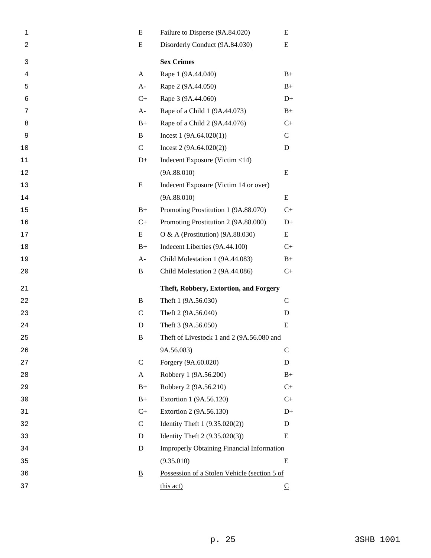| 1              | E                        | Failure to Disperse (9A.84.020)<br>E         |              |  |  |
|----------------|--------------------------|----------------------------------------------|--------------|--|--|
| $\overline{c}$ | E                        | Disorderly Conduct (9A.84.030)<br>Ε          |              |  |  |
| 3              |                          | <b>Sex Crimes</b>                            |              |  |  |
| 4              | A                        | Rape 1 (9A.44.040)                           | $B+$         |  |  |
| 5              | $A-$                     | Rape 2 (9A.44.050)                           | $B+$         |  |  |
| 6              | $C+$                     | Rape 3 (9A.44.060)                           | $D+$         |  |  |
| 7              | $A-$                     | Rape of a Child 1 (9A.44.073)                | $B+$         |  |  |
| 8              | $B+$                     | Rape of a Child 2 (9A.44.076)                | $C+$         |  |  |
| 9              | B                        | Incest $1(9A.64.020(1))$                     | $\mathbf C$  |  |  |
| 10             | $\mathbf C$              | Incest $2(9A.64.020(2))$                     | D            |  |  |
| 11             | $D+$                     | Indecent Exposure (Victim <14)               |              |  |  |
| 12             |                          | (9A.88.010)                                  | E            |  |  |
| 13             | E                        | Indecent Exposure (Victim 14 or over)        |              |  |  |
| 14             |                          | (9A.88.010)                                  | E            |  |  |
| 15             | $B+$                     | Promoting Prostitution 1 (9A.88.070)         | $C+$         |  |  |
| 16             | $C+$                     | Promoting Prostitution 2 (9A.88.080)         | $D+$         |  |  |
| 17             | E                        | O & A (Prostitution) (9A.88.030)             | E            |  |  |
| 18             | $B+$                     | Indecent Liberties (9A.44.100)               | $C+$         |  |  |
| 19             | $A-$                     | Child Molestation 1 (9A.44.083)              | $B+$         |  |  |
| 20             | B                        | Child Molestation 2 (9A.44.086)              | $C+$         |  |  |
| 21             |                          | Theft, Robbery, Extortion, and Forgery       |              |  |  |
| 22             | B                        | Theft 1 (9A.56.030)                          | $\mathsf{C}$ |  |  |
| 23             | $\mathsf{C}$             | Theft 2 (9A.56.040)                          | D            |  |  |
| 24             | D                        | Theft 3 (9A.56.050)                          | E            |  |  |
| 25             | B                        | Theft of Livestock 1 and 2 (9A.56.080 and    |              |  |  |
| 26             |                          | 9A.56.083)                                   | $\mathbf C$  |  |  |
| 27             | $\mathcal{C}$            | Forgery (9A.60.020)                          | D            |  |  |
| 28             | A                        | Robbery 1 (9A.56.200)                        | $B+$         |  |  |
| 29             | $B+$                     | Robbery 2 (9A.56.210)                        | $C+$         |  |  |
| 30             | $B+$                     | Extortion 1 (9A.56.120)                      | $C+$         |  |  |
| 31             | $C+$                     | Extortion 2 (9A.56.130)                      | $D+$         |  |  |
| 32             | $\mathbf C$              | Identity Theft 1 (9.35.020(2))               | D            |  |  |
| 33             | D                        | Identity Theft 2 (9.35.020(3))               | E            |  |  |
| 34             | D                        | Improperly Obtaining Financial Information   |              |  |  |
| 35             |                          | (9.35.010)                                   | E            |  |  |
| 36             | $\underline{\mathbf{B}}$ | Possession of a Stolen Vehicle (section 5 of |              |  |  |
| 37             |                          | this act)                                    | $\subseteq$  |  |  |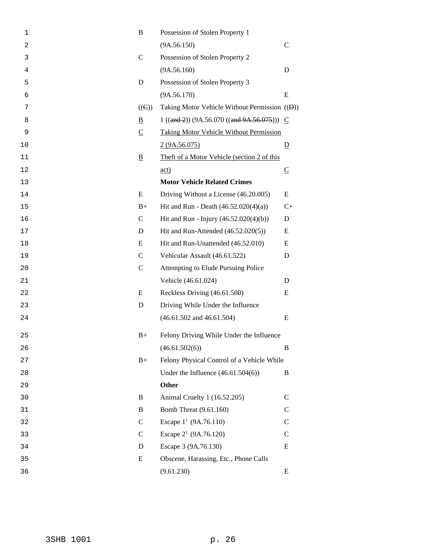| $\mathbf 1$ | B                       | Possession of Stolen Property 1                            |                          |
|-------------|-------------------------|------------------------------------------------------------|--------------------------|
| 2           |                         | (9A.56.150)                                                | $\mathcal{C}$            |
| 3           | $\mathcal{C}$           | Possession of Stolen Property 2                            |                          |
| 4           |                         | (9A.56.160)                                                | D                        |
| 5           | D                       | Possession of Stolen Property 3                            |                          |
| 6           |                         | (9A.56.170)                                                | E                        |
| 7           | $((\Theta))$            | Taking Motor Vehicle Without Permission (( <del>D</del> )) |                          |
| 8           | B                       | $1 ((and 2)) (9A.56.070 ((and 9A.56.075))) C$              |                          |
| 9           | $\subseteq$             | <b>Taking Motor Vehicle Without Permission</b>             |                          |
| 10          |                         | 2(9A.56.075)                                               | $\overline{D}$           |
| 11          | $\overline{\mathbf{B}}$ | Theft of a Motor Vehicle (section 2 of this                |                          |
| 12          |                         | $\underline{\text{act}}$                                   | $\underline{\mathbb{C}}$ |
| 13          |                         | <b>Motor Vehicle Related Crimes</b>                        |                          |
| 14          | E                       | Driving Without a License (46.20.005)                      | E                        |
| 15          | $B+$                    | Hit and Run - Death $(46.52.020(4)(a))$                    | $C+$                     |
| 16          | $\mathsf{C}$            | Hit and Run - Injury (46.52.020(4)(b))                     | D                        |
| 17          | D                       | Hit and Run-Attended (46.52.020(5))                        | E                        |
| 18          | E                       | Hit and Run-Unattended (46.52.010)                         | E                        |
| 19          | $\mathcal{C}$           | Vehicular Assault (46.61.522)                              | D                        |
| 20          | $\mathsf{C}$            | Attempting to Elude Pursuing Police                        |                          |
| 21          |                         | Vehicle (46.61.024)                                        | D                        |
| 22          | E                       | Reckless Driving (46.61.500)                               | E                        |
| 23          | D                       | Driving While Under the Influence                          |                          |
| 24          |                         | $(46.61.502$ and $46.61.504)$                              | E                        |
| 25          | $B+$                    | Felony Driving While Under the Influence                   |                          |
| 26          |                         | (46.61.502(6))                                             | B                        |
| 27          | $B+$                    | Felony Physical Control of a Vehicle While                 |                          |
| 28          |                         | Under the Influence $(46.61.504(6))$                       | B                        |
| 29          |                         | <b>Other</b>                                               |                          |
| 30          | B                       | Animal Cruelty 1 (16.52.205)                               | $\mathcal{C}$            |
| 31          | $\bf{B}$                | Bomb Threat (9.61.160)                                     | $\mathcal{C}$            |
| 32          | $\mathsf{C}$            | Escape $1^1$ (9A.76.110)                                   | $\mathsf{C}$             |
| 33          | $\mathsf{C}$            | Escape 2 <sup>1</sup> (9A.76.120)                          | $\mathcal{C}$            |
| 34          | D                       | Escape 3 (9A.76.130)                                       | E                        |
| 35          | E                       | Obscene, Harassing, Etc., Phone Calls                      |                          |
| 36          |                         | (9.61.230)                                                 | Ε                        |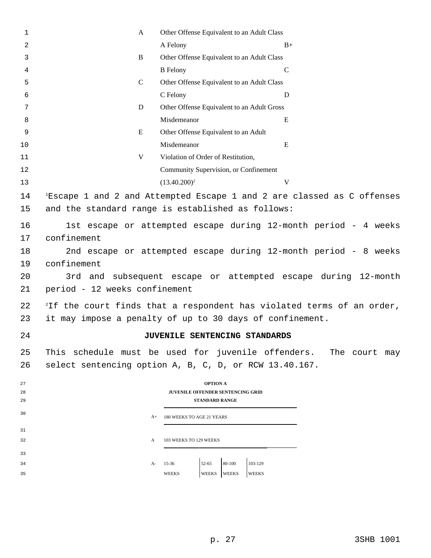| $\mathbf{1}$ | A                                                                                 | Other Offense Equivalent to an Adult Class             |                                                                                    |  |  |  |  |
|--------------|-----------------------------------------------------------------------------------|--------------------------------------------------------|------------------------------------------------------------------------------------|--|--|--|--|
| 2            |                                                                                   | A Felony                                               | $B+$                                                                               |  |  |  |  |
| 3            | $\, {\bf B}$                                                                      | Other Offense Equivalent to an Adult Class             |                                                                                    |  |  |  |  |
| 4            |                                                                                   | <b>B</b> Felony                                        | $\mathsf{C}$                                                                       |  |  |  |  |
| 5            | $\mathcal{C}$                                                                     | Other Offense Equivalent to an Adult Class             |                                                                                    |  |  |  |  |
| 6            |                                                                                   | C Felony                                               | D                                                                                  |  |  |  |  |
| 7            | D                                                                                 | Other Offense Equivalent to an Adult Gross             |                                                                                    |  |  |  |  |
| 8            |                                                                                   | Misdemeanor                                            | E                                                                                  |  |  |  |  |
| 9            | E                                                                                 | Other Offense Equivalent to an Adult                   |                                                                                    |  |  |  |  |
| 10           |                                                                                   | Misdemeanor                                            | E                                                                                  |  |  |  |  |
| 11           | V                                                                                 | Violation of Order of Restitution,                     |                                                                                    |  |  |  |  |
| 12           |                                                                                   | Community Supervision, or Confinement                  |                                                                                    |  |  |  |  |
| 13           |                                                                                   | $(13.40.200)^2$                                        | V                                                                                  |  |  |  |  |
| 14           |                                                                                   |                                                        | <sup>1</sup> Escape 1 and 2 and Attempted Escape 1 and 2 are classed as C offenses |  |  |  |  |
| 15           |                                                                                   | and the standard range is established as follows:      |                                                                                    |  |  |  |  |
|              |                                                                                   |                                                        |                                                                                    |  |  |  |  |
| 16           |                                                                                   |                                                        | 1st escape or attempted escape during 12-month period - 4 weeks                    |  |  |  |  |
| 17           | confinement                                                                       |                                                        |                                                                                    |  |  |  |  |
| 18           | 2nd escape or attempted escape during 12-month period - 8 weeks                   |                                                        |                                                                                    |  |  |  |  |
| 19           | confinement                                                                       |                                                        |                                                                                    |  |  |  |  |
| 20           | 3rd and subsequent escape or attempted escape during 12-month                     |                                                        |                                                                                    |  |  |  |  |
| 21           | period - 12 weeks confinement                                                     |                                                        |                                                                                    |  |  |  |  |
| 22           | <sup>2</sup> If the court finds that a respondent has violated terms of an order, |                                                        |                                                                                    |  |  |  |  |
| 23           | it may impose a penalty of up to 30 days of confinement.                          |                                                        |                                                                                    |  |  |  |  |
|              |                                                                                   |                                                        |                                                                                    |  |  |  |  |
| 24           |                                                                                   | JUVENILE SENTENCING STANDARDS                          |                                                                                    |  |  |  |  |
| 25           |                                                                                   |                                                        | This schedule must be used for juvenile offenders. The court may                   |  |  |  |  |
| 26           |                                                                                   | select sentencing option A, B, C, D, or RCW 13.40.167. |                                                                                    |  |  |  |  |
| 27           |                                                                                   | <b>OPTION A</b>                                        |                                                                                    |  |  |  |  |
| 28           |                                                                                   | JUVENILE OFFENDER SENTENCING GRID                      |                                                                                    |  |  |  |  |
| 29           |                                                                                   | <b>STANDARD RANGE</b>                                  |                                                                                    |  |  |  |  |
| 30           | $A+$                                                                              | 180 WEEKS TO AGE 21 YEARS                              |                                                                                    |  |  |  |  |
| 31           |                                                                                   |                                                        |                                                                                    |  |  |  |  |
| 32           | A                                                                                 | 103 WEEKS TO 129 WEEKS                                 |                                                                                    |  |  |  |  |
| 33           |                                                                                   |                                                        |                                                                                    |  |  |  |  |
| 34           | A-                                                                                | 80-100<br>103-129<br>$52 - 65$<br>15-36                |                                                                                    |  |  |  |  |
| 35           |                                                                                   | WEEKS<br><b>WEEKS</b><br><b>WEEKS</b><br><b>WEEKS</b>  |                                                                                    |  |  |  |  |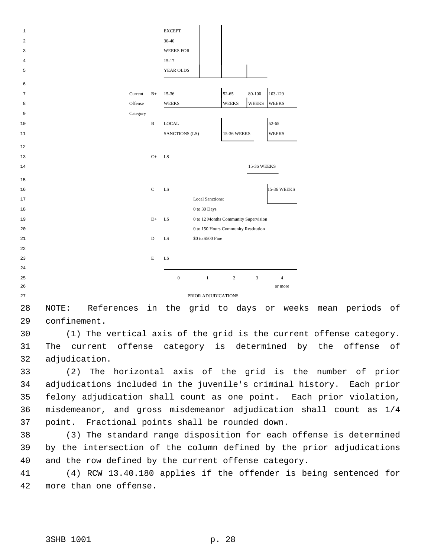| $\mathbf{1}$ |          |              | <b>EXCEPT</b>    |                                      |                |              |                    |
|--------------|----------|--------------|------------------|--------------------------------------|----------------|--------------|--------------------|
| 2            |          |              | 30-40            |                                      |                |              |                    |
| 3            |          |              | <b>WEEKS FOR</b> |                                      |                |              |                    |
| 4            |          |              | $15-17$          |                                      |                |              |                    |
| 5            |          |              | YEAR OLDS        |                                      |                |              |                    |
| 6            |          |              |                  |                                      |                |              |                    |
|              |          |              | 15-36            |                                      | 52-65          | 80-100       | 103-129            |
| 7            | Current  | $B+$         |                  |                                      |                |              |                    |
| 8            | Offense  |              | <b>WEEKS</b>     |                                      | <b>WEEKS</b>   | <b>WEEKS</b> | <b>WEEKS</b>       |
| 9            | Category |              |                  |                                      |                |              |                    |
| 10           |          | $\, {\bf B}$ | <b>LOCAL</b>     |                                      |                |              | 52-65              |
| 11           |          |              | SANCTIONS (LS)   |                                      | 15-36 WEEKS    |              | <b>WEEKS</b>       |
| 12           |          |              |                  |                                      |                |              |                    |
| 13           |          | $C+$         | <b>LS</b>        |                                      |                |              |                    |
| 14           |          |              |                  |                                      |                | 15-36 WEEKS  |                    |
|              |          |              |                  |                                      |                |              |                    |
| 15           |          |              |                  |                                      |                |              |                    |
| 16           |          | $\mathbf C$  | LS               |                                      |                |              | <b>15-36 WEEKS</b> |
| 17           |          |              |                  | <b>Local Sanctions:</b>              |                |              |                    |
| 18           |          |              |                  | 0 to 30 Days                         |                |              |                    |
| 19           |          | $D+$         | LS               | 0 to 12 Months Community Supervision |                |              |                    |
| 20           |          |              |                  | 0 to 150 Hours Community Restitution |                |              |                    |
| 21           |          | $\mathbf D$  | LS               | \$0 to \$500 Fine                    |                |              |                    |
| 22           |          |              |                  |                                      |                |              |                    |
| 23           |          | Е            | LS               |                                      |                |              |                    |
| 24           |          |              |                  |                                      |                |              |                    |
| 25           |          |              | $\boldsymbol{0}$ | $\mathbf{1}$                         | $\overline{c}$ | 3            | $\overline{4}$     |
| 26           |          |              |                  |                                      |                |              | or more            |
| 27           |          |              |                  | PRIOR ADJUDICATIONS                  |                |              |                    |

 NOTE: References in the grid to days or weeks mean periods of confinement.

 (1) The vertical axis of the grid is the current offense category. The current offense category is determined by the offense of adjudication.

 (2) The horizontal axis of the grid is the number of prior adjudications included in the juvenile's criminal history. Each prior felony adjudication shall count as one point. Each prior violation, misdemeanor, and gross misdemeanor adjudication shall count as 1/4 point. Fractional points shall be rounded down.

 (3) The standard range disposition for each offense is determined by the intersection of the column defined by the prior adjudications and the row defined by the current offense category.

 (4) RCW 13.40.180 applies if the offender is being sentenced for more than one offense.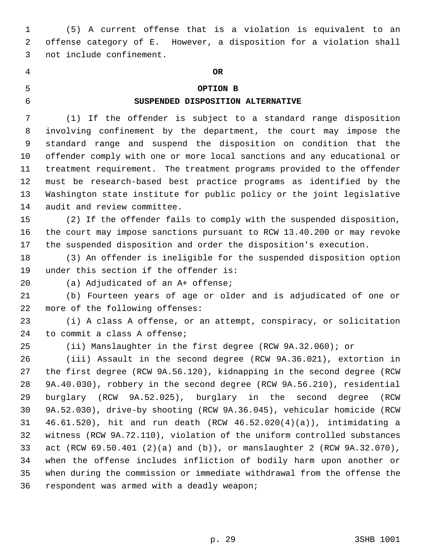(5) A current offense that is a violation is equivalent to an offense category of E. However, a disposition for a violation shall not include confinement.

## **OR**

## **OPTION B**

## **SUSPENDED DISPOSITION ALTERNATIVE**

(1) If the offender is subject to a standard range disposition

 involving confinement by the department, the court may impose the standard range and suspend the disposition on condition that the offender comply with one or more local sanctions and any educational or treatment requirement. The treatment programs provided to the offender must be research-based best practice programs as identified by the Washington state institute for public policy or the joint legislative audit and review committee.

 (2) If the offender fails to comply with the suspended disposition, the court may impose sanctions pursuant to RCW 13.40.200 or may revoke the suspended disposition and order the disposition's execution.

 (3) An offender is ineligible for the suspended disposition option under this section if the offender is:

(a) Adjudicated of an A+ offense;

 (b) Fourteen years of age or older and is adjudicated of one or more of the following offenses:

 (i) A class A offense, or an attempt, conspiracy, or solicitation to commit a class A offense;

(ii) Manslaughter in the first degree (RCW 9A.32.060); or

 (iii) Assault in the second degree (RCW 9A.36.021), extortion in the first degree (RCW 9A.56.120), kidnapping in the second degree (RCW 9A.40.030), robbery in the second degree (RCW 9A.56.210), residential burglary (RCW 9A.52.025), burglary in the second degree (RCW 9A.52.030), drive-by shooting (RCW 9A.36.045), vehicular homicide (RCW 46.61.520), hit and run death (RCW 46.52.020(4)(a)), intimidating a witness (RCW 9A.72.110), violation of the uniform controlled substances act (RCW 69.50.401 (2)(a) and (b)), or manslaughter 2 (RCW 9A.32.070), when the offense includes infliction of bodily harm upon another or when during the commission or immediate withdrawal from the offense the respondent was armed with a deadly weapon;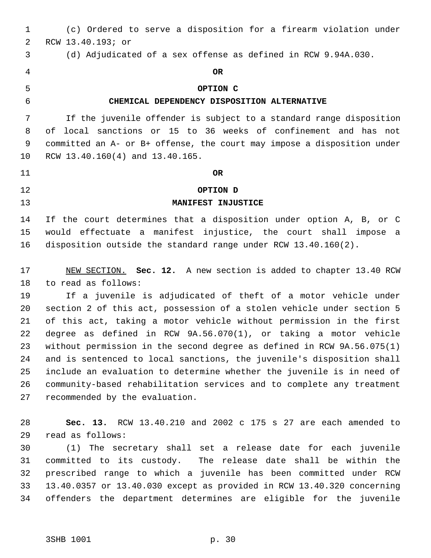(c) Ordered to serve a disposition for a firearm violation under RCW 13.40.193; or (d) Adjudicated of a sex offense as defined in RCW 9.94A.030. **OR OPTION C CHEMICAL DEPENDENCY DISPOSITION ALTERNATIVE** If the juvenile offender is subject to a standard range disposition of local sanctions or 15 to 36 weeks of confinement and has not committed an A- or B+ offense, the court may impose a disposition under RCW 13.40.160(4) and 13.40.165. **OR OPTION D MANIFEST INJUSTICE** If the court determines that a disposition under option A, B, or C would effectuate a manifest injustice, the court shall impose a disposition outside the standard range under RCW 13.40.160(2). NEW SECTION. **Sec. 12.** A new section is added to chapter 13.40 RCW to read as follows: If a juvenile is adjudicated of theft of a motor vehicle under section 2 of this act, possession of a stolen vehicle under section 5 of this act, taking a motor vehicle without permission in the first degree as defined in RCW 9A.56.070(1), or taking a motor vehicle without permission in the second degree as defined in RCW 9A.56.075(1) and is sentenced to local sanctions, the juvenile's disposition shall include an evaluation to determine whether the juvenile is in need of community-based rehabilitation services and to complete any treatment recommended by the evaluation. **Sec. 13.** RCW 13.40.210 and 2002 c 175 s 27 are each amended to read as follows: (1) The secretary shall set a release date for each juvenile committed to its custody. The release date shall be within the prescribed range to which a juvenile has been committed under RCW 13.40.0357 or 13.40.030 except as provided in RCW 13.40.320 concerning offenders the department determines are eligible for the juvenile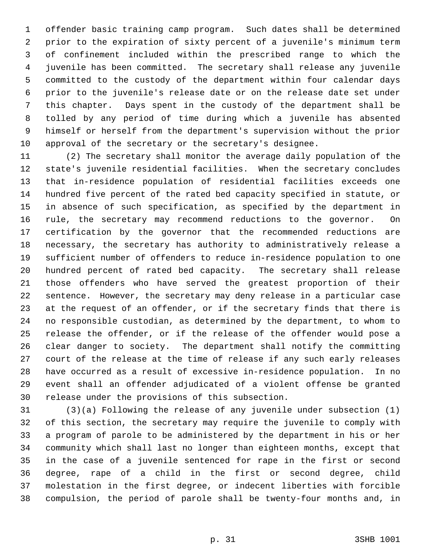offender basic training camp program. Such dates shall be determined prior to the expiration of sixty percent of a juvenile's minimum term of confinement included within the prescribed range to which the juvenile has been committed. The secretary shall release any juvenile committed to the custody of the department within four calendar days prior to the juvenile's release date or on the release date set under this chapter. Days spent in the custody of the department shall be tolled by any period of time during which a juvenile has absented himself or herself from the department's supervision without the prior approval of the secretary or the secretary's designee.

 (2) The secretary shall monitor the average daily population of the state's juvenile residential facilities. When the secretary concludes that in-residence population of residential facilities exceeds one hundred five percent of the rated bed capacity specified in statute, or in absence of such specification, as specified by the department in rule, the secretary may recommend reductions to the governor. On certification by the governor that the recommended reductions are necessary, the secretary has authority to administratively release a sufficient number of offenders to reduce in-residence population to one hundred percent of rated bed capacity. The secretary shall release those offenders who have served the greatest proportion of their sentence. However, the secretary may deny release in a particular case at the request of an offender, or if the secretary finds that there is no responsible custodian, as determined by the department, to whom to release the offender, or if the release of the offender would pose a clear danger to society. The department shall notify the committing court of the release at the time of release if any such early releases have occurred as a result of excessive in-residence population. In no event shall an offender adjudicated of a violent offense be granted release under the provisions of this subsection.

 (3)(a) Following the release of any juvenile under subsection (1) of this section, the secretary may require the juvenile to comply with a program of parole to be administered by the department in his or her community which shall last no longer than eighteen months, except that in the case of a juvenile sentenced for rape in the first or second degree, rape of a child in the first or second degree, child molestation in the first degree, or indecent liberties with forcible compulsion, the period of parole shall be twenty-four months and, in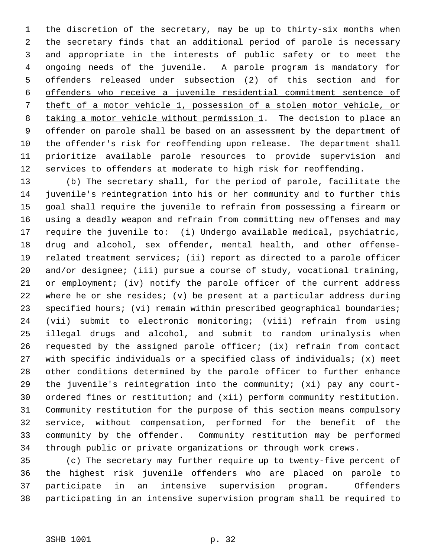the discretion of the secretary, may be up to thirty-six months when the secretary finds that an additional period of parole is necessary and appropriate in the interests of public safety or to meet the ongoing needs of the juvenile. A parole program is mandatory for offenders released under subsection (2) of this section and for offenders who receive a juvenile residential commitment sentence of theft of a motor vehicle 1, possession of a stolen motor vehicle, or 8 taking a motor vehicle without permission 1. The decision to place an offender on parole shall be based on an assessment by the department of the offender's risk for reoffending upon release. The department shall prioritize available parole resources to provide supervision and services to offenders at moderate to high risk for reoffending.

 (b) The secretary shall, for the period of parole, facilitate the juvenile's reintegration into his or her community and to further this goal shall require the juvenile to refrain from possessing a firearm or using a deadly weapon and refrain from committing new offenses and may require the juvenile to: (i) Undergo available medical, psychiatric, drug and alcohol, sex offender, mental health, and other offense- related treatment services; (ii) report as directed to a parole officer and/or designee; (iii) pursue a course of study, vocational training, or employment; (iv) notify the parole officer of the current address where he or she resides; (v) be present at a particular address during 23 specified hours; (vi) remain within prescribed geographical boundaries; (vii) submit to electronic monitoring; (viii) refrain from using illegal drugs and alcohol, and submit to random urinalysis when requested by the assigned parole officer; (ix) refrain from contact with specific individuals or a specified class of individuals; (x) meet other conditions determined by the parole officer to further enhance the juvenile's reintegration into the community; (xi) pay any court- ordered fines or restitution; and (xii) perform community restitution. Community restitution for the purpose of this section means compulsory service, without compensation, performed for the benefit of the community by the offender. Community restitution may be performed through public or private organizations or through work crews.

 (c) The secretary may further require up to twenty-five percent of the highest risk juvenile offenders who are placed on parole to participate in an intensive supervision program. Offenders participating in an intensive supervision program shall be required to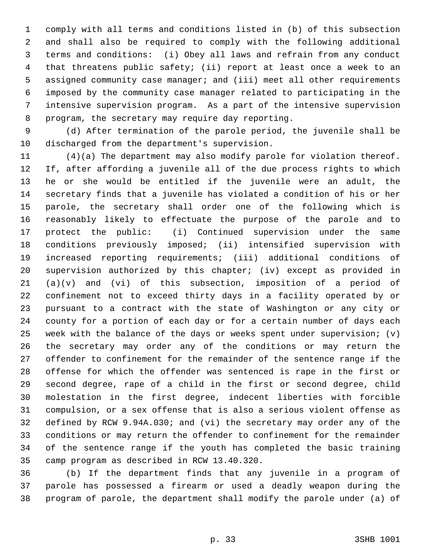comply with all terms and conditions listed in (b) of this subsection and shall also be required to comply with the following additional terms and conditions: (i) Obey all laws and refrain from any conduct that threatens public safety; (ii) report at least once a week to an assigned community case manager; and (iii) meet all other requirements imposed by the community case manager related to participating in the intensive supervision program. As a part of the intensive supervision program, the secretary may require day reporting.

 (d) After termination of the parole period, the juvenile shall be discharged from the department's supervision.

 (4)(a) The department may also modify parole for violation thereof. If, after affording a juvenile all of the due process rights to which he or she would be entitled if the juvenile were an adult, the secretary finds that a juvenile has violated a condition of his or her parole, the secretary shall order one of the following which is reasonably likely to effectuate the purpose of the parole and to protect the public: (i) Continued supervision under the same conditions previously imposed; (ii) intensified supervision with increased reporting requirements; (iii) additional conditions of supervision authorized by this chapter; (iv) except as provided in (a)(v) and (vi) of this subsection, imposition of a period of confinement not to exceed thirty days in a facility operated by or pursuant to a contract with the state of Washington or any city or county for a portion of each day or for a certain number of days each week with the balance of the days or weeks spent under supervision; (v) the secretary may order any of the conditions or may return the offender to confinement for the remainder of the sentence range if the offense for which the offender was sentenced is rape in the first or second degree, rape of a child in the first or second degree, child molestation in the first degree, indecent liberties with forcible compulsion, or a sex offense that is also a serious violent offense as defined by RCW 9.94A.030; and (vi) the secretary may order any of the conditions or may return the offender to confinement for the remainder of the sentence range if the youth has completed the basic training camp program as described in RCW 13.40.320.

 (b) If the department finds that any juvenile in a program of parole has possessed a firearm or used a deadly weapon during the program of parole, the department shall modify the parole under (a) of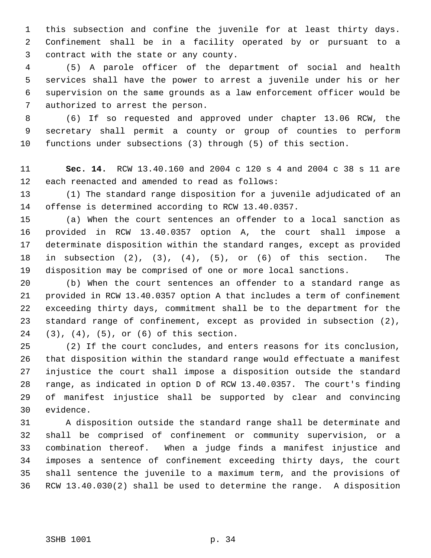this subsection and confine the juvenile for at least thirty days. Confinement shall be in a facility operated by or pursuant to a contract with the state or any county.

 (5) A parole officer of the department of social and health services shall have the power to arrest a juvenile under his or her supervision on the same grounds as a law enforcement officer would be authorized to arrest the person.

 (6) If so requested and approved under chapter 13.06 RCW, the secretary shall permit a county or group of counties to perform functions under subsections (3) through (5) of this section.

 **Sec. 14.** RCW 13.40.160 and 2004 c 120 s 4 and 2004 c 38 s 11 are each reenacted and amended to read as follows:

 (1) The standard range disposition for a juvenile adjudicated of an offense is determined according to RCW 13.40.0357.

 (a) When the court sentences an offender to a local sanction as provided in RCW 13.40.0357 option A, the court shall impose a determinate disposition within the standard ranges, except as provided in subsection (2), (3), (4), (5), or (6) of this section. The disposition may be comprised of one or more local sanctions.

 (b) When the court sentences an offender to a standard range as provided in RCW 13.40.0357 option A that includes a term of confinement exceeding thirty days, commitment shall be to the department for the standard range of confinement, except as provided in subsection (2), (3), (4), (5), or (6) of this section.

 (2) If the court concludes, and enters reasons for its conclusion, that disposition within the standard range would effectuate a manifest injustice the court shall impose a disposition outside the standard range, as indicated in option D of RCW 13.40.0357. The court's finding of manifest injustice shall be supported by clear and convincing evidence.

 A disposition outside the standard range shall be determinate and shall be comprised of confinement or community supervision, or a combination thereof. When a judge finds a manifest injustice and imposes a sentence of confinement exceeding thirty days, the court shall sentence the juvenile to a maximum term, and the provisions of RCW 13.40.030(2) shall be used to determine the range. A disposition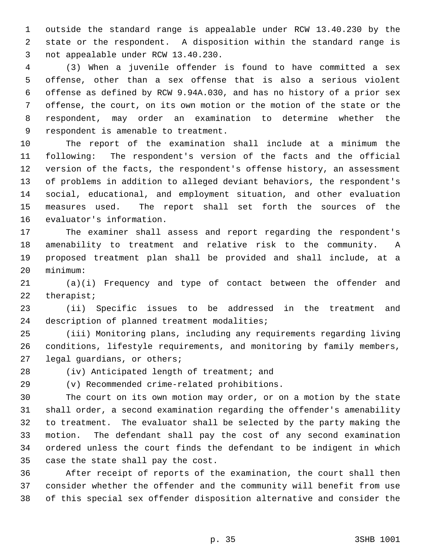outside the standard range is appealable under RCW 13.40.230 by the state or the respondent. A disposition within the standard range is not appealable under RCW 13.40.230.

 (3) When a juvenile offender is found to have committed a sex offense, other than a sex offense that is also a serious violent offense as defined by RCW 9.94A.030, and has no history of a prior sex offense, the court, on its own motion or the motion of the state or the respondent, may order an examination to determine whether the respondent is amenable to treatment.

 The report of the examination shall include at a minimum the following: The respondent's version of the facts and the official version of the facts, the respondent's offense history, an assessment of problems in addition to alleged deviant behaviors, the respondent's social, educational, and employment situation, and other evaluation measures used. The report shall set forth the sources of the evaluator's information.

 The examiner shall assess and report regarding the respondent's amenability to treatment and relative risk to the community. A proposed treatment plan shall be provided and shall include, at a minimum:

 (a)(i) Frequency and type of contact between the offender and therapist;

 (ii) Specific issues to be addressed in the treatment and description of planned treatment modalities;

 (iii) Monitoring plans, including any requirements regarding living conditions, lifestyle requirements, and monitoring by family members, legal guardians, or others;

(iv) Anticipated length of treatment; and

(v) Recommended crime-related prohibitions.

 The court on its own motion may order, or on a motion by the state shall order, a second examination regarding the offender's amenability to treatment. The evaluator shall be selected by the party making the motion. The defendant shall pay the cost of any second examination ordered unless the court finds the defendant to be indigent in which case the state shall pay the cost.

 After receipt of reports of the examination, the court shall then consider whether the offender and the community will benefit from use of this special sex offender disposition alternative and consider the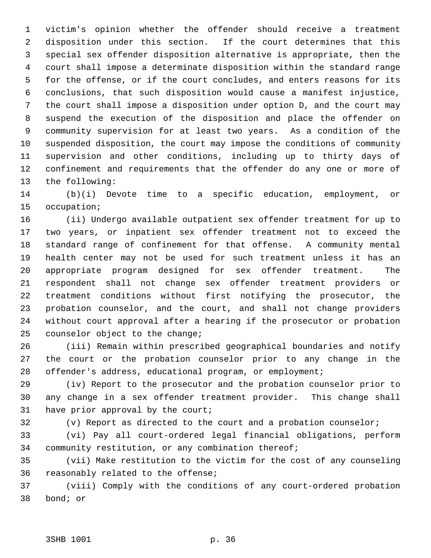victim's opinion whether the offender should receive a treatment disposition under this section. If the court determines that this special sex offender disposition alternative is appropriate, then the court shall impose a determinate disposition within the standard range for the offense, or if the court concludes, and enters reasons for its conclusions, that such disposition would cause a manifest injustice, the court shall impose a disposition under option D, and the court may suspend the execution of the disposition and place the offender on community supervision for at least two years. As a condition of the suspended disposition, the court may impose the conditions of community supervision and other conditions, including up to thirty days of confinement and requirements that the offender do any one or more of the following:

 (b)(i) Devote time to a specific education, employment, or occupation;

 (ii) Undergo available outpatient sex offender treatment for up to two years, or inpatient sex offender treatment not to exceed the standard range of confinement for that offense. A community mental health center may not be used for such treatment unless it has an appropriate program designed for sex offender treatment. The respondent shall not change sex offender treatment providers or treatment conditions without first notifying the prosecutor, the probation counselor, and the court, and shall not change providers without court approval after a hearing if the prosecutor or probation counselor object to the change;

 (iii) Remain within prescribed geographical boundaries and notify the court or the probation counselor prior to any change in the offender's address, educational program, or employment;

 (iv) Report to the prosecutor and the probation counselor prior to any change in a sex offender treatment provider. This change shall have prior approval by the court;

(v) Report as directed to the court and a probation counselor;

 (vi) Pay all court-ordered legal financial obligations, perform community restitution, or any combination thereof;

 (vii) Make restitution to the victim for the cost of any counseling reasonably related to the offense;

 (viii) Comply with the conditions of any court-ordered probation bond; or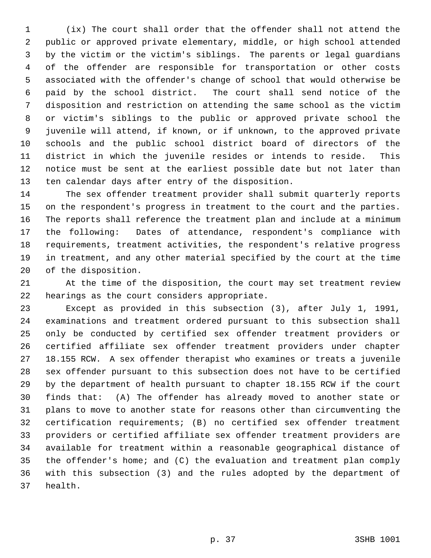(ix) The court shall order that the offender shall not attend the public or approved private elementary, middle, or high school attended by the victim or the victim's siblings. The parents or legal guardians of the offender are responsible for transportation or other costs associated with the offender's change of school that would otherwise be paid by the school district. The court shall send notice of the disposition and restriction on attending the same school as the victim or victim's siblings to the public or approved private school the juvenile will attend, if known, or if unknown, to the approved private schools and the public school district board of directors of the district in which the juvenile resides or intends to reside. This notice must be sent at the earliest possible date but not later than ten calendar days after entry of the disposition.

 The sex offender treatment provider shall submit quarterly reports on the respondent's progress in treatment to the court and the parties. The reports shall reference the treatment plan and include at a minimum the following: Dates of attendance, respondent's compliance with requirements, treatment activities, the respondent's relative progress in treatment, and any other material specified by the court at the time of the disposition.

 At the time of the disposition, the court may set treatment review hearings as the court considers appropriate.

 Except as provided in this subsection (3), after July 1, 1991, examinations and treatment ordered pursuant to this subsection shall only be conducted by certified sex offender treatment providers or certified affiliate sex offender treatment providers under chapter 18.155 RCW. A sex offender therapist who examines or treats a juvenile sex offender pursuant to this subsection does not have to be certified by the department of health pursuant to chapter 18.155 RCW if the court finds that: (A) The offender has already moved to another state or plans to move to another state for reasons other than circumventing the certification requirements; (B) no certified sex offender treatment providers or certified affiliate sex offender treatment providers are available for treatment within a reasonable geographical distance of the offender's home; and (C) the evaluation and treatment plan comply with this subsection (3) and the rules adopted by the department of health.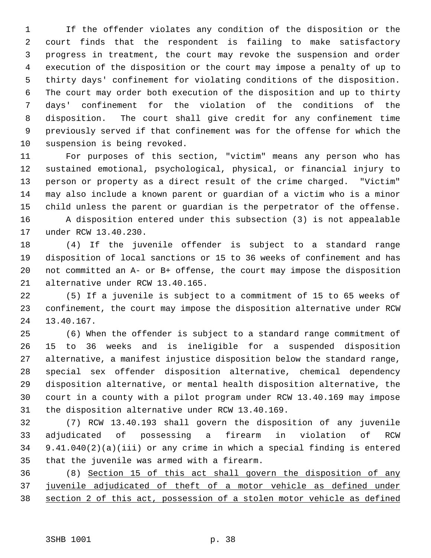If the offender violates any condition of the disposition or the court finds that the respondent is failing to make satisfactory progress in treatment, the court may revoke the suspension and order execution of the disposition or the court may impose a penalty of up to thirty days' confinement for violating conditions of the disposition. The court may order both execution of the disposition and up to thirty days' confinement for the violation of the conditions of the disposition. The court shall give credit for any confinement time previously served if that confinement was for the offense for which the suspension is being revoked.

 For purposes of this section, "victim" means any person who has sustained emotional, psychological, physical, or financial injury to person or property as a direct result of the crime charged. "Victim" may also include a known parent or guardian of a victim who is a minor child unless the parent or guardian is the perpetrator of the offense. A disposition entered under this subsection (3) is not appealable under RCW 13.40.230.

 (4) If the juvenile offender is subject to a standard range disposition of local sanctions or 15 to 36 weeks of confinement and has not committed an A- or B+ offense, the court may impose the disposition alternative under RCW 13.40.165.

 (5) If a juvenile is subject to a commitment of 15 to 65 weeks of confinement, the court may impose the disposition alternative under RCW 13.40.167.

 (6) When the offender is subject to a standard range commitment of 15 to 36 weeks and is ineligible for a suspended disposition alternative, a manifest injustice disposition below the standard range, special sex offender disposition alternative, chemical dependency disposition alternative, or mental health disposition alternative, the court in a county with a pilot program under RCW 13.40.169 may impose the disposition alternative under RCW 13.40.169.

 (7) RCW 13.40.193 shall govern the disposition of any juvenile adjudicated of possessing a firearm in violation of RCW 9.41.040(2)(a)(iii) or any crime in which a special finding is entered that the juvenile was armed with a firearm.

 (8) Section 15 of this act shall govern the disposition of any juvenile adjudicated of theft of a motor vehicle as defined under section 2 of this act, possession of a stolen motor vehicle as defined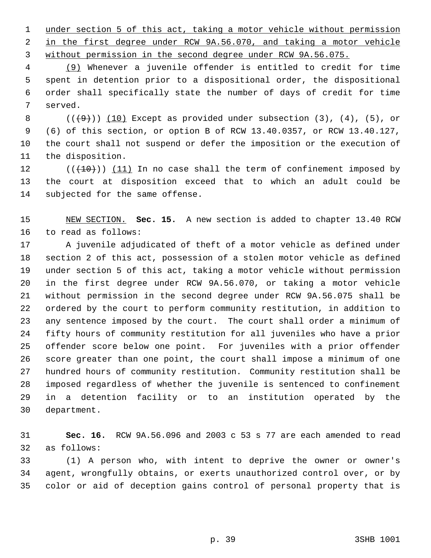under section 5 of this act, taking a motor vehicle without permission in the first degree under RCW 9A.56.070, and taking a motor vehicle 3 without permission in the second degree under RCW 9A.56.075.

 (9) Whenever a juvenile offender is entitled to credit for time spent in detention prior to a dispositional order, the dispositional order shall specifically state the number of days of credit for time served.

 $((+9))$   $(10)$  Except as provided under subsection  $(3)$ ,  $(4)$ ,  $(5)$ , or (6) of this section, or option B of RCW 13.40.0357, or RCW 13.40.127, the court shall not suspend or defer the imposition or the execution of the disposition.

 $((+10))$   $(11)$  In no case shall the term of confinement imposed by the court at disposition exceed that to which an adult could be subjected for the same offense.

 NEW SECTION. **Sec. 15.** A new section is added to chapter 13.40 RCW to read as follows:

 A juvenile adjudicated of theft of a motor vehicle as defined under section 2 of this act, possession of a stolen motor vehicle as defined under section 5 of this act, taking a motor vehicle without permission in the first degree under RCW 9A.56.070, or taking a motor vehicle without permission in the second degree under RCW 9A.56.075 shall be ordered by the court to perform community restitution, in addition to any sentence imposed by the court. The court shall order a minimum of fifty hours of community restitution for all juveniles who have a prior offender score below one point. For juveniles with a prior offender score greater than one point, the court shall impose a minimum of one hundred hours of community restitution. Community restitution shall be imposed regardless of whether the juvenile is sentenced to confinement in a detention facility or to an institution operated by the department.

 **Sec. 16.** RCW 9A.56.096 and 2003 c 53 s 77 are each amended to read as follows:

 (1) A person who, with intent to deprive the owner or owner's agent, wrongfully obtains, or exerts unauthorized control over, or by color or aid of deception gains control of personal property that is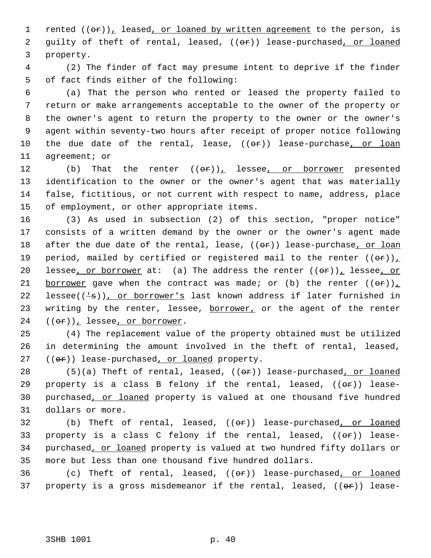1 rented  $((\theta \cdot \mathbf{r}))_L$  leased, or loaned by written agreement to the person, is 2 guilty of theft of rental, leased, ((or)) lease-purchased, or loaned 3 property.

 4 (2) The finder of fact may presume intent to deprive if the finder 5 of fact finds either of the following:

 (a) That the person who rented or leased the property failed to return or make arrangements acceptable to the owner of the property or the owner's agent to return the property to the owner or the owner's agent within seventy-two hours after receipt of proper notice following 10 the due date of the rental, lease, ((or)) lease-purchase, or loan agreement; or

12 (b) That the renter  $((\theta \hat{r}))_L$  lessee<sub>l</sub> or borrower presented identification to the owner or the owner's agent that was materially false, fictitious, or not current with respect to name, address, place of employment, or other appropriate items.

16 (3) As used in subsection (2) of this section, "proper notice" 17 consists of a written demand by the owner or the owner's agent made 18 after the due date of the rental, lease, ((or)) lease-purchase, or loan 19 period, mailed by certified or registered mail to the renter  $((\theta \cdot \mathbf{r}))$ 20 lessee, or borrower at: (a) The address the renter  $((\theta F))_L$  lessee, or 21 borrower gave when the contract was made; or (b) the renter  $((\theta \cdot \mathbf{r}))_L$ 22 lessee( $(\frac{1}{s})$ ), or borrower's last known address if later furnished in 23 writing by the renter, lessee, borrower, or the agent of the renter  $24$   $((e^*)_L$  lessee, or borrower.

25 (4) The replacement value of the property obtained must be utilized 26 in determining the amount involved in the theft of rental, leased, 27 (( $\Theta$ ) lease-purchased, or loaned property.

 $(5)(a)$  Theft of rental, leased,  $((e^a)^2)$  lease-purchased, or loaned 29 property is a class B felony if the rental, leased,  $((\theta \cdot \hat{r}))$  lease- purchased, or loaned property is valued at one thousand five hundred dollars or more.

32 (b) Theft of rental, leased,  $((e^p))$  lease-purchased, or loaned 33 property is a class C felony if the rental, leased,  $((\theta \cdot \mathbf{r}))$  lease-34 purchased, or loaned property is valued at two hundred fifty dollars or 35 more but less than one thousand five hundred dollars.

36 (c) Theft of rental, leased, ((or)) lease-purchased, or loaned 37 property is a gross misdemeanor if the rental, leased,  $((e^{\alpha})^2)$  lease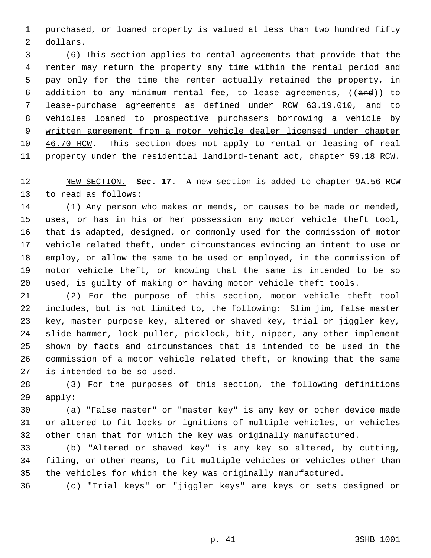1 purchased, or loaned property is valued at less than two hundred fifty dollars.

 (6) This section applies to rental agreements that provide that the renter may return the property any time within the rental period and pay only for the time the renter actually retained the property, in 6 addition to any minimum rental fee, to lease agreements,  $((and))$  to lease-purchase agreements as defined under RCW 63.19.010, and to vehicles loaned to prospective purchasers borrowing a vehicle by written agreement from a motor vehicle dealer licensed under chapter 10 46.70 RCW. This section does not apply to rental or leasing of real property under the residential landlord-tenant act, chapter 59.18 RCW.

 NEW SECTION. **Sec. 17.** A new section is added to chapter 9A.56 RCW to read as follows:

 (1) Any person who makes or mends, or causes to be made or mended, uses, or has in his or her possession any motor vehicle theft tool, that is adapted, designed, or commonly used for the commission of motor vehicle related theft, under circumstances evincing an intent to use or employ, or allow the same to be used or employed, in the commission of motor vehicle theft, or knowing that the same is intended to be so used, is guilty of making or having motor vehicle theft tools.

 (2) For the purpose of this section, motor vehicle theft tool includes, but is not limited to, the following: Slim jim, false master key, master purpose key, altered or shaved key, trial or jiggler key, slide hammer, lock puller, picklock, bit, nipper, any other implement shown by facts and circumstances that is intended to be used in the commission of a motor vehicle related theft, or knowing that the same is intended to be so used.

 (3) For the purposes of this section, the following definitions apply:

 (a) "False master" or "master key" is any key or other device made or altered to fit locks or ignitions of multiple vehicles, or vehicles other than that for which the key was originally manufactured.

 (b) "Altered or shaved key" is any key so altered, by cutting, filing, or other means, to fit multiple vehicles or vehicles other than the vehicles for which the key was originally manufactured.

(c) "Trial keys" or "jiggler keys" are keys or sets designed or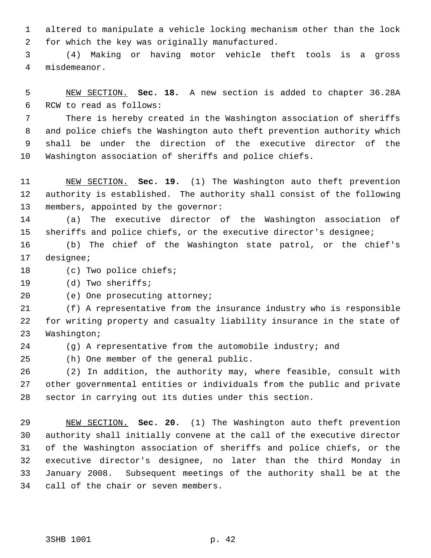altered to manipulate a vehicle locking mechanism other than the lock for which the key was originally manufactured.

 (4) Making or having motor vehicle theft tools is a gross misdemeanor.

 NEW SECTION. **Sec. 18.** A new section is added to chapter 36.28A RCW to read as follows:

 There is hereby created in the Washington association of sheriffs and police chiefs the Washington auto theft prevention authority which shall be under the direction of the executive director of the Washington association of sheriffs and police chiefs.

 NEW SECTION. **Sec. 19.** (1) The Washington auto theft prevention authority is established. The authority shall consist of the following members, appointed by the governor:

 (a) The executive director of the Washington association of sheriffs and police chiefs, or the executive director's designee;

 (b) The chief of the Washington state patrol, or the chief's designee;

18 (c) Two police chiefs;

(d) Two sheriffs;

(e) One prosecuting attorney;

 (f) A representative from the insurance industry who is responsible for writing property and casualty liability insurance in the state of Washington;

(g) A representative from the automobile industry; and

(h) One member of the general public.

 (2) In addition, the authority may, where feasible, consult with other governmental entities or individuals from the public and private sector in carrying out its duties under this section.

 NEW SECTION. **Sec. 20.** (1) The Washington auto theft prevention authority shall initially convene at the call of the executive director of the Washington association of sheriffs and police chiefs, or the executive director's designee, no later than the third Monday in January 2008. Subsequent meetings of the authority shall be at the call of the chair or seven members.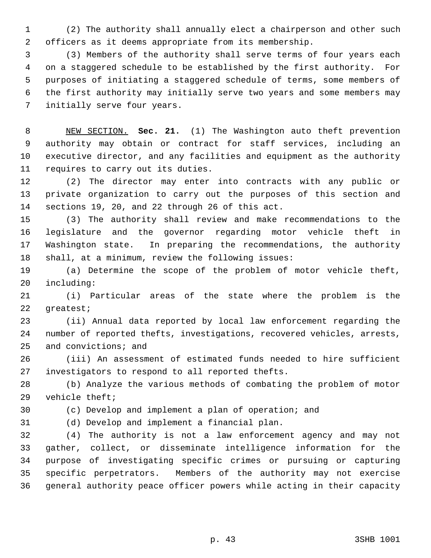(2) The authority shall annually elect a chairperson and other such officers as it deems appropriate from its membership.

 (3) Members of the authority shall serve terms of four years each on a staggered schedule to be established by the first authority. For purposes of initiating a staggered schedule of terms, some members of the first authority may initially serve two years and some members may initially serve four years.

 NEW SECTION. **Sec. 21.** (1) The Washington auto theft prevention authority may obtain or contract for staff services, including an executive director, and any facilities and equipment as the authority requires to carry out its duties.

 (2) The director may enter into contracts with any public or private organization to carry out the purposes of this section and sections 19, 20, and 22 through 26 of this act.

 (3) The authority shall review and make recommendations to the legislature and the governor regarding motor vehicle theft in Washington state. In preparing the recommendations, the authority shall, at a minimum, review the following issues:

 (a) Determine the scope of the problem of motor vehicle theft, including:

 (i) Particular areas of the state where the problem is the greatest;

 (ii) Annual data reported by local law enforcement regarding the number of reported thefts, investigations, recovered vehicles, arrests, and convictions; and

 (iii) An assessment of estimated funds needed to hire sufficient investigators to respond to all reported thefts.

 (b) Analyze the various methods of combating the problem of motor vehicle theft;

(c) Develop and implement a plan of operation; and

(d) Develop and implement a financial plan.

 (4) The authority is not a law enforcement agency and may not gather, collect, or disseminate intelligence information for the purpose of investigating specific crimes or pursuing or capturing specific perpetrators. Members of the authority may not exercise general authority peace officer powers while acting in their capacity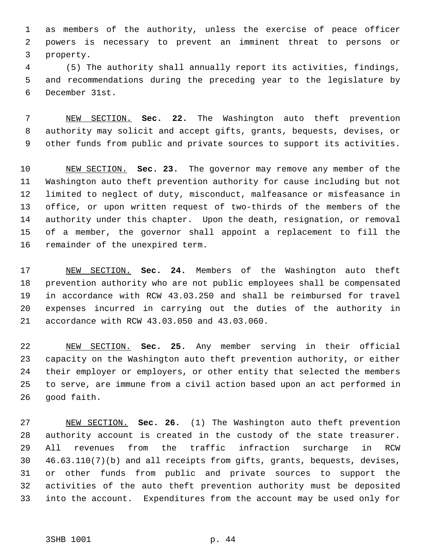as members of the authority, unless the exercise of peace officer powers is necessary to prevent an imminent threat to persons or property.

 (5) The authority shall annually report its activities, findings, and recommendations during the preceding year to the legislature by December 31st.

 NEW SECTION. **Sec. 22.** The Washington auto theft prevention authority may solicit and accept gifts, grants, bequests, devises, or other funds from public and private sources to support its activities.

 NEW SECTION. **Sec. 23.** The governor may remove any member of the Washington auto theft prevention authority for cause including but not limited to neglect of duty, misconduct, malfeasance or misfeasance in office, or upon written request of two-thirds of the members of the authority under this chapter. Upon the death, resignation, or removal of a member, the governor shall appoint a replacement to fill the remainder of the unexpired term.

 NEW SECTION. **Sec. 24.** Members of the Washington auto theft prevention authority who are not public employees shall be compensated in accordance with RCW 43.03.250 and shall be reimbursed for travel expenses incurred in carrying out the duties of the authority in accordance with RCW 43.03.050 and 43.03.060.

 NEW SECTION. **Sec. 25.** Any member serving in their official capacity on the Washington auto theft prevention authority, or either their employer or employers, or other entity that selected the members to serve, are immune from a civil action based upon an act performed in good faith.

 NEW SECTION. **Sec. 26.** (1) The Washington auto theft prevention authority account is created in the custody of the state treasurer. All revenues from the traffic infraction surcharge in RCW 46.63.110(7)(b) and all receipts from gifts, grants, bequests, devises, or other funds from public and private sources to support the activities of the auto theft prevention authority must be deposited into the account. Expenditures from the account may be used only for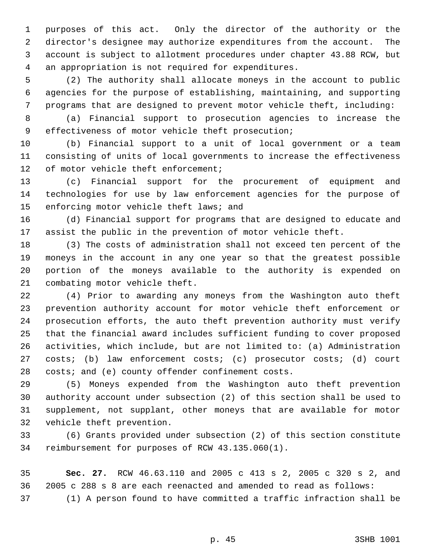purposes of this act. Only the director of the authority or the director's designee may authorize expenditures from the account. The account is subject to allotment procedures under chapter 43.88 RCW, but an appropriation is not required for expenditures.

 (2) The authority shall allocate moneys in the account to public agencies for the purpose of establishing, maintaining, and supporting programs that are designed to prevent motor vehicle theft, including:

 (a) Financial support to prosecution agencies to increase the effectiveness of motor vehicle theft prosecution;

 (b) Financial support to a unit of local government or a team consisting of units of local governments to increase the effectiveness of motor vehicle theft enforcement;

 (c) Financial support for the procurement of equipment and technologies for use by law enforcement agencies for the purpose of 15 enforcing motor vehicle theft laws; and

 (d) Financial support for programs that are designed to educate and assist the public in the prevention of motor vehicle theft.

 (3) The costs of administration shall not exceed ten percent of the moneys in the account in any one year so that the greatest possible portion of the moneys available to the authority is expended on combating motor vehicle theft.

 (4) Prior to awarding any moneys from the Washington auto theft prevention authority account for motor vehicle theft enforcement or prosecution efforts, the auto theft prevention authority must verify that the financial award includes sufficient funding to cover proposed activities, which include, but are not limited to: (a) Administration costs; (b) law enforcement costs; (c) prosecutor costs; (d) court costs; and (e) county offender confinement costs.

 (5) Moneys expended from the Washington auto theft prevention authority account under subsection (2) of this section shall be used to supplement, not supplant, other moneys that are available for motor vehicle theft prevention.

 (6) Grants provided under subsection (2) of this section constitute reimbursement for purposes of RCW 43.135.060(1).

 **Sec. 27.** RCW 46.63.110 and 2005 c 413 s 2, 2005 c 320 s 2, and 2005 c 288 s 8 are each reenacted and amended to read as follows:

(1) A person found to have committed a traffic infraction shall be

p. 45 3SHB 1001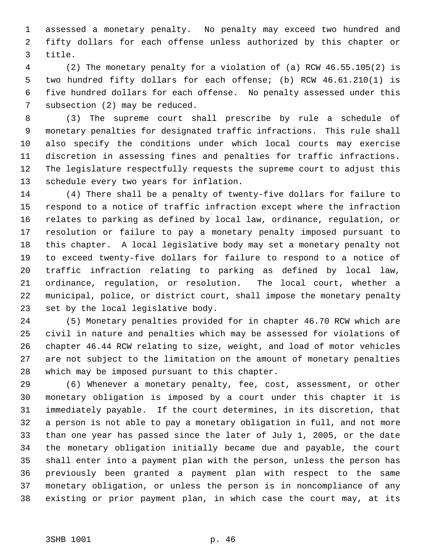assessed a monetary penalty. No penalty may exceed two hundred and fifty dollars for each offense unless authorized by this chapter or title.

 (2) The monetary penalty for a violation of (a) RCW 46.55.105(2) is two hundred fifty dollars for each offense; (b) RCW 46.61.210(1) is five hundred dollars for each offense. No penalty assessed under this subsection (2) may be reduced.

 (3) The supreme court shall prescribe by rule a schedule of monetary penalties for designated traffic infractions. This rule shall also specify the conditions under which local courts may exercise discretion in assessing fines and penalties for traffic infractions. The legislature respectfully requests the supreme court to adjust this schedule every two years for inflation.

 (4) There shall be a penalty of twenty-five dollars for failure to respond to a notice of traffic infraction except where the infraction relates to parking as defined by local law, ordinance, regulation, or resolution or failure to pay a monetary penalty imposed pursuant to this chapter. A local legislative body may set a monetary penalty not to exceed twenty-five dollars for failure to respond to a notice of traffic infraction relating to parking as defined by local law, ordinance, regulation, or resolution. The local court, whether a municipal, police, or district court, shall impose the monetary penalty set by the local legislative body.

 (5) Monetary penalties provided for in chapter 46.70 RCW which are civil in nature and penalties which may be assessed for violations of chapter 46.44 RCW relating to size, weight, and load of motor vehicles are not subject to the limitation on the amount of monetary penalties which may be imposed pursuant to this chapter.

 (6) Whenever a monetary penalty, fee, cost, assessment, or other monetary obligation is imposed by a court under this chapter it is immediately payable. If the court determines, in its discretion, that a person is not able to pay a monetary obligation in full, and not more than one year has passed since the later of July 1, 2005, or the date the monetary obligation initially became due and payable, the court shall enter into a payment plan with the person, unless the person has previously been granted a payment plan with respect to the same monetary obligation, or unless the person is in noncompliance of any existing or prior payment plan, in which case the court may, at its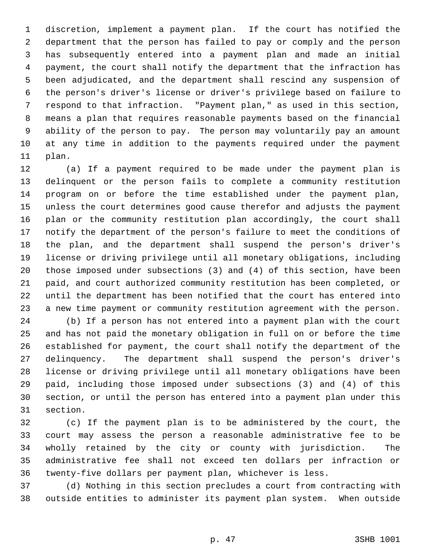discretion, implement a payment plan. If the court has notified the department that the person has failed to pay or comply and the person has subsequently entered into a payment plan and made an initial payment, the court shall notify the department that the infraction has been adjudicated, and the department shall rescind any suspension of the person's driver's license or driver's privilege based on failure to respond to that infraction. "Payment plan," as used in this section, means a plan that requires reasonable payments based on the financial ability of the person to pay. The person may voluntarily pay an amount at any time in addition to the payments required under the payment plan.

 (a) If a payment required to be made under the payment plan is delinquent or the person fails to complete a community restitution program on or before the time established under the payment plan, unless the court determines good cause therefor and adjusts the payment plan or the community restitution plan accordingly, the court shall notify the department of the person's failure to meet the conditions of the plan, and the department shall suspend the person's driver's license or driving privilege until all monetary obligations, including those imposed under subsections (3) and (4) of this section, have been paid, and court authorized community restitution has been completed, or until the department has been notified that the court has entered into a new time payment or community restitution agreement with the person.

 (b) If a person has not entered into a payment plan with the court and has not paid the monetary obligation in full on or before the time established for payment, the court shall notify the department of the delinquency. The department shall suspend the person's driver's license or driving privilege until all monetary obligations have been paid, including those imposed under subsections (3) and (4) of this section, or until the person has entered into a payment plan under this section.

 (c) If the payment plan is to be administered by the court, the court may assess the person a reasonable administrative fee to be wholly retained by the city or county with jurisdiction. The administrative fee shall not exceed ten dollars per infraction or twenty-five dollars per payment plan, whichever is less.

 (d) Nothing in this section precludes a court from contracting with outside entities to administer its payment plan system. When outside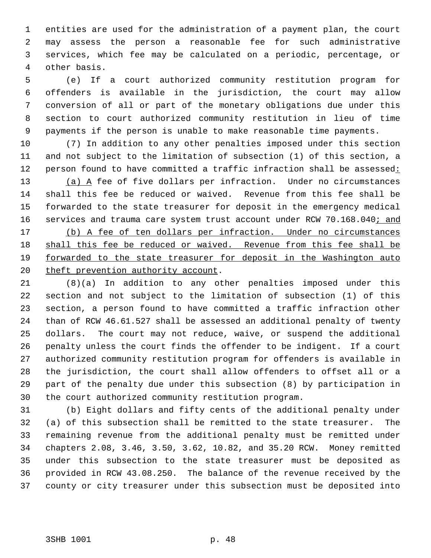entities are used for the administration of a payment plan, the court may assess the person a reasonable fee for such administrative services, which fee may be calculated on a periodic, percentage, or other basis.

 (e) If a court authorized community restitution program for offenders is available in the jurisdiction, the court may allow conversion of all or part of the monetary obligations due under this section to court authorized community restitution in lieu of time payments if the person is unable to make reasonable time payments.

 (7) In addition to any other penalties imposed under this section and not subject to the limitation of subsection (1) of this section, a 12 person found to have committed a traffic infraction shall be assessed: 13 (a) A fee of five dollars per infraction. Under no circumstances shall this fee be reduced or waived. Revenue from this fee shall be forwarded to the state treasurer for deposit in the emergency medical 16 services and trauma care system trust account under RCW 70.168.040; and (b) A fee of ten dollars per infraction. Under no circumstances 18 shall this fee be reduced or waived. Revenue from this fee shall be forwarded to the state treasurer for deposit in the Washington auto 20 theft prevention authority account.

 (8)(a) In addition to any other penalties imposed under this section and not subject to the limitation of subsection (1) of this section, a person found to have committed a traffic infraction other than of RCW 46.61.527 shall be assessed an additional penalty of twenty dollars. The court may not reduce, waive, or suspend the additional penalty unless the court finds the offender to be indigent. If a court authorized community restitution program for offenders is available in the jurisdiction, the court shall allow offenders to offset all or a part of the penalty due under this subsection (8) by participation in the court authorized community restitution program.

 (b) Eight dollars and fifty cents of the additional penalty under (a) of this subsection shall be remitted to the state treasurer. The remaining revenue from the additional penalty must be remitted under chapters 2.08, 3.46, 3.50, 3.62, 10.82, and 35.20 RCW. Money remitted under this subsection to the state treasurer must be deposited as provided in RCW 43.08.250. The balance of the revenue received by the county or city treasurer under this subsection must be deposited into